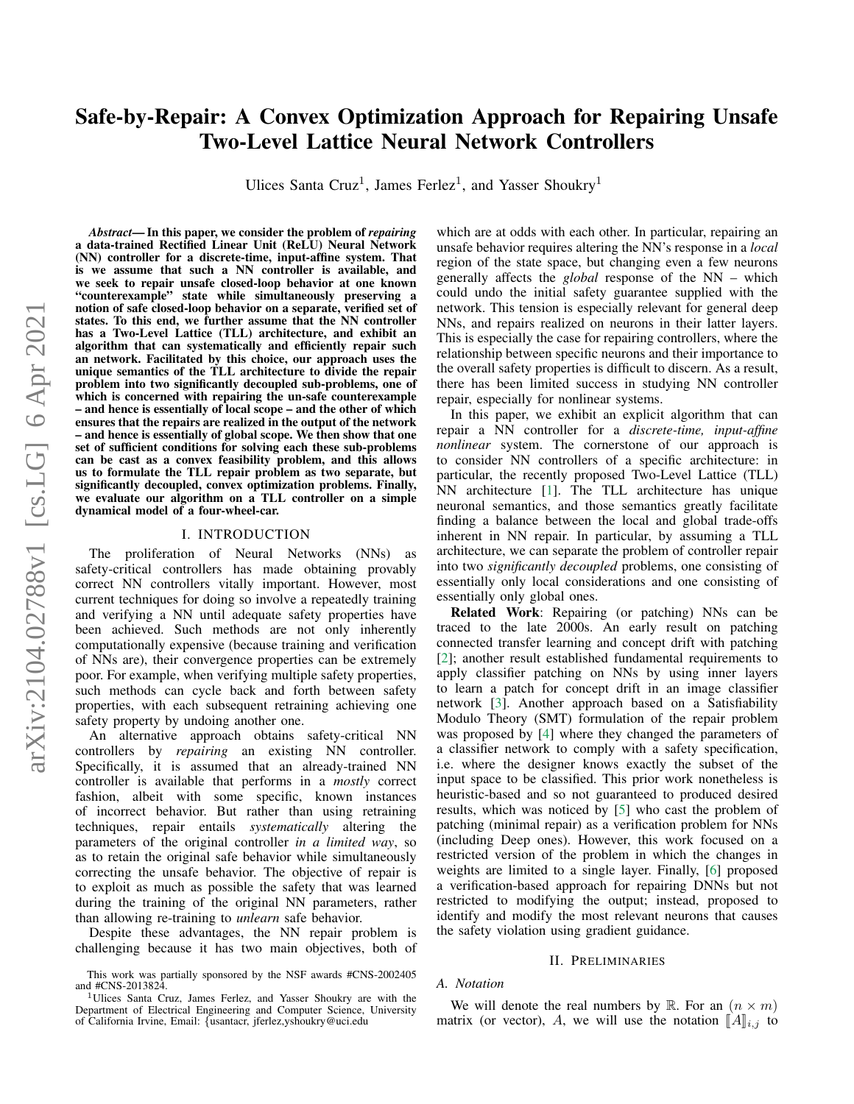# Safe-by-Repair: A Convex Optimization Approach for Repairing Unsafe Two-Level Lattice Neural Network Controllers

Ulices Santa Cruz<sup>1</sup>, James Ferlez<sup>1</sup>, and Yasser Shoukry<sup>1</sup>

*Abstract*— In this paper, we consider the problem of *repairing* a data-trained Rectified Linear Unit (ReLU) Neural Network (NN) controller for a discrete-time, input-affine system. That is we assume that such a NN controller is available, and we seek to repair unsafe closed-loop behavior at one known "counterexample" state while simultaneously preserving a notion of safe closed-loop behavior on a separate, verified set of states. To this end, we further assume that the NN controller has a Two-Level Lattice (TLL) architecture, and exhibit an algorithm that can systematically and efficiently repair such an network. Facilitated by this choice, our approach uses the unique semantics of the TLL architecture to divide the repair problem into two significantly decoupled sub-problems, one of which is concerned with repairing the un-safe counterexample – and hence is essentially of local scope – and the other of which ensures that the repairs are realized in the output of the network – and hence is essentially of global scope. We then show that one set of sufficient conditions for solving each these sub-problems can be cast as a convex feasibility problem, and this allows us to formulate the TLL repair problem as two separate, but significantly decoupled, convex optimization problems. Finally, we evaluate our algorithm on a TLL controller on a simple dynamical model of a four-wheel-car.

# I. INTRODUCTION

The proliferation of Neural Networks (NNs) as safety-critical controllers has made obtaining provably correct NN controllers vitally important. However, most current techniques for doing so involve a repeatedly training and verifying a NN until adequate safety properties have been achieved. Such methods are not only inherently computationally expensive (because training and verification of NNs are), their convergence properties can be extremely poor. For example, when verifying multiple safety properties, such methods can cycle back and forth between safety properties, with each subsequent retraining achieving one safety property by undoing another one.

An alternative approach obtains safety-critical NN controllers by *repairing* an existing NN controller. Specifically, it is assumed that an already-trained NN controller is available that performs in a *mostly* correct fashion, albeit with some specific, known instances of incorrect behavior. But rather than using retraining techniques, repair entails *systematically* altering the parameters of the original controller *in a limited way*, so as to retain the original safe behavior while simultaneously correcting the unsafe behavior. The objective of repair is to exploit as much as possible the safety that was learned during the training of the original NN parameters, rather than allowing re-training to *unlearn* safe behavior.

Despite these advantages, the NN repair problem is challenging because it has two main objectives, both of which are at odds with each other. In particular, repairing an unsafe behavior requires altering the NN's response in a *local* region of the state space, but changing even a few neurons generally affects the *global* response of the NN – which could undo the initial safety guarantee supplied with the network. This tension is especially relevant for general deep NNs, and repairs realized on neurons in their latter layers. This is especially the case for repairing controllers, where the relationship between specific neurons and their importance to the overall safety properties is difficult to discern. As a result, there has been limited success in studying NN controller repair, especially for nonlinear systems.

In this paper, we exhibit an explicit algorithm that can repair a NN controller for a *discrete-time, input-affine nonlinear* system. The cornerstone of our approach is to consider NN controllers of a specific architecture: in particular, the recently proposed Two-Level Lattice (TLL) NN architecture [\[1\]](#page-7-0). The TLL architecture has unique neuronal semantics, and those semantics greatly facilitate finding a balance between the local and global trade-offs inherent in NN repair. In particular, by assuming a TLL architecture, we can separate the problem of controller repair into two *significantly decoupled* problems, one consisting of essentially only local considerations and one consisting of essentially only global ones.

Related Work: Repairing (or patching) NNs can be traced to the late 2000s. An early result on patching connected transfer learning and concept drift with patching [\[2\]](#page-7-1); another result established fundamental requirements to apply classifier patching on NNs by using inner layers to learn a patch for concept drift in an image classifier network [\[3\]](#page-7-2). Another approach based on a Satisfiability Modulo Theory (SMT) formulation of the repair problem was proposed by [\[4\]](#page-7-3) where they changed the parameters of a classifier network to comply with a safety specification, i.e. where the designer knows exactly the subset of the input space to be classified. This prior work nonetheless is heuristic-based and so not guaranteed to produced desired results, which was noticed by [\[5\]](#page-7-4) who cast the problem of patching (minimal repair) as a verification problem for NNs (including Deep ones). However, this work focused on a restricted version of the problem in which the changes in weights are limited to a single layer. Finally, [\[6\]](#page-7-5) proposed a verification-based approach for repairing DNNs but not restricted to modifying the output; instead, proposed to identify and modify the most relevant neurons that causes the safety violation using gradient guidance.

## II. PRELIMINARIES

#### *A. Notation*

We will denote the real numbers by R. For an  $(n \times m)$ matrix (or vector), A, we will use the notation  $\llbracket A \rrbracket_{i,j}$  to

This work was partially sponsored by the NSF awards #CNS-2002405 and #CNS-2013824.

<sup>1</sup>Ulices Santa Cruz, James Ferlez, and Yasser Shoukry are with the Department of Electrical Engineering and Computer Science, University of California Irvine, Email: {usantacr, jferlez,yshoukry@uci.edu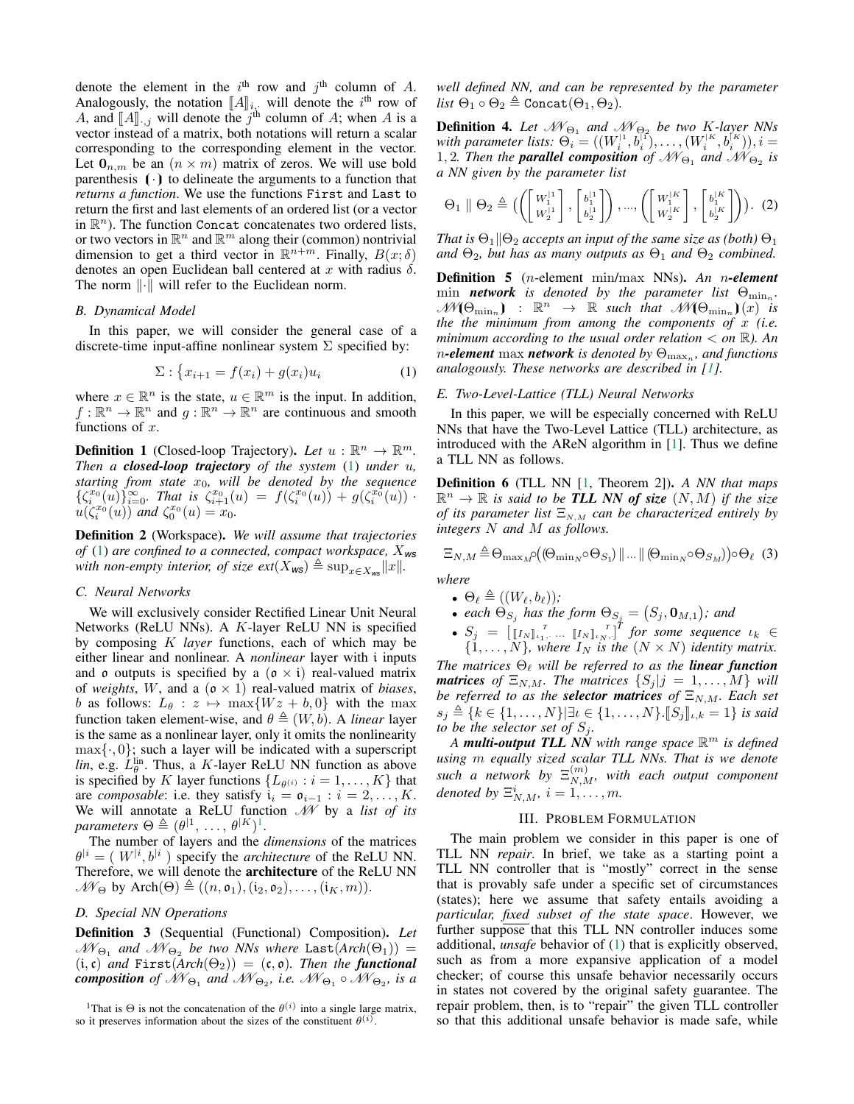denote the element in the  $i^{\text{th}}$  row and  $j^{\text{th}}$  column of A. Analogously, the notation  $[[A]]_{i,j}$  will denote the  $i^{\text{th}}$  row of  $A$  and  $[[A]]_{i,j}$  will denote the  $i^{\text{th}}$  column of  $A$ ; when  $A$  is a A, and  $[[A]]_{:,j}$  will denote the j<sup>th</sup> column of A; when A is a vector instead of a matrix both notations will return a scalar vector instead of a matrix, both notations will return a scalar corresponding to the corresponding element in the vector. Let  $\mathbf{0}_{n,m}$  be an  $(n \times m)$  matrix of zeros. We will use bold parenthesis  $(\cdot)$  to delineate the arguments to a function that *returns a function*. We use the functions First and Last to return the first and last elements of an ordered list (or a vector in  $\mathbb{R}^n$ ). The function Concat concatenates two ordered lists, or two vectors in  $\mathbb{R}^n$  and  $\mathbb{R}^m$  along their (common) nontrivial dimension to get a third vector in  $\mathbb{R}^{n+m}$ . Finally,  $B(x;\delta)$ denotes an open Euclidean ball centered at x with radius  $\delta$ . The norm  $\lVert \cdot \rVert$  will refer to the Euclidean norm.

#### *B. Dynamical Model*

In this paper, we will consider the general case of a discrete-time input-affine nonlinear system  $\Sigma$  specified by:

<span id="page-1-0"></span>
$$
\Sigma: \left\{ x_{i+1} = f(x_i) + g(x_i)u_i \right\} \tag{1}
$$

where  $x \in \mathbb{R}^n$  is the state,  $u \in \mathbb{R}^m$  is the input. In addition,  $f: \mathbb{R}^n \to \mathbb{R}^n$  and  $g: \mathbb{R}^n \to \mathbb{R}^n$  are continuous and smooth functions of  $x$ .

**Definition 1** (Closed-loop Trajectory). Let  $u : \mathbb{R}^n \to \mathbb{R}^m$ . *Then a closed-loop trajectory of the system* [\(1\)](#page-1-0) *under* u*, starting from state* x0*, will be denoted by the sequence*  $\{\zeta_i^{x_0}(u)\}_{i=0}^{\infty}$ . That is  $\zeta_{i+1}^{x_0}(u) = f(\zeta_i^{x_0}(u)) + g(\zeta_i^{x_0}(u))$ .  $u(\zeta_i^{x_0}(u))$  and  $\zeta_0^{x_0}(u) = x_0$ .

<span id="page-1-2"></span>Definition 2 (Workspace). *We will assume that trajectories of* [\(1\)](#page-1-0) *are confined to a connected, compact workspace,* X*ws with non-empty interior, of size*  $ext(X_{ws}) \triangleq \sup_{x \in X_{ws}} ||x||$ *.* 

# *C. Neural Networks*

We will exclusively consider Rectified Linear Unit Neural Networks (ReLU NNs). A K-layer ReLU NN is specified by composing K *layer* functions, each of which may be either linear and nonlinear. A *nonlinear* layer with i inputs and  $\sigma$  outputs is specified by a  $(\sigma \times i)$  real-valued matrix of *weights*, W, and a  $(\mathfrak{o} \times 1)$  real-valued matrix of *biases*, b as follows:  $L_{\theta}$  :  $z \mapsto \max\{Wz + b, 0\}$  with the max function taken element-wise, and  $\theta \triangleq (W, b)$ . A *linear* layer is the same as a nonlinear layer, only it omits the nonlinearity  $\max\{\cdot,0\}$ ; such a layer will be indicated with a superscript *lin*, e.g.  $\hat{L}_{\theta}^{\text{lin}}$ . Thus, a K-layer ReLU NN function as above is specified by K layer functions  $\{L_{\theta^{(i)}} : i = 1, \dots, K\}$  that are *composable*: i.e. they satisfy  $i_i = \mathfrak{o}_{i-1} : i = 2, \ldots, K$ . We will annotate a ReLU function M by a *list of its*  $parameters \Theta \triangleq (\theta^{|1}, \ldots, \theta^{|K}|^{1}).$  $parameters \Theta \triangleq (\theta^{|1}, \ldots, \theta^{|K}|^{1}).$  $parameters \Theta \triangleq (\theta^{|1}, \ldots, \theta^{|K}|^{1}).$ 

The number of layers and the *dimensions* of the matrices  $\theta^{i} = (W^{i}, b^{i})$  specify the *architecture* of the ReLU NN. Therefore, we will denote the architecture of the ReLU NN  $\mathscr{W}_{\Theta}$  by Arch $(\Theta) \triangleq ((n, \mathfrak{o}_1), (\mathfrak{i}_2, \mathfrak{o}_2), \dots, (\mathfrak{i}_K, m)).$ 

# *D. Special NN Operations*

Definition 3 (Sequential (Functional) Composition). *Let*  $\mathscr{N}\!\mathscr{N}_{\Theta_1}$  and  $\mathscr{N}\!\mathscr{N}_{\Theta_2}$  be two NNs where  $\texttt{Last}(Arch(\Theta_1))$  =  $(i, c)$  *and* First $(Arch(\Theta_2)) = (c, o)$ *. Then the functional composition of*  $\mathcal{N}\mathcal{N}_{\Theta_1}$  *and*  $\mathcal{N}\mathcal{N}_{\Theta_2}$ *, i.e.*  $\mathcal{N}\mathcal{N}_{\Theta_1} \circ \mathcal{N}\mathcal{N}_{\Theta_2}$ *, is a* 

*well defined NN, and can be represented by the parameter list*  $\Theta_1 \circ \Theta_2 \triangleq \text{Concat}(\Theta_1, \Theta_2)$ .

**Definition 4.** Let  $\mathcal{M}_{\Theta_1}$  and  $\mathcal{M}_{\Theta_2}$  be two K-layer NNs with parameter lists:  $\Theta_i = ((W_i^{11}, b_i^{11}), \ldots, (W_i^{1K}, b_i^{1K})), i =$ 1, 2. Then the **parallel composition** of  $\mathcal{N}\mathcal{N}_{\Theta_1}$  and  $\mathcal{N}\mathcal{N}_{\Theta_2}$  is *a NN given by the parameter list*

$$
\Theta_1 \parallel \Theta_2 \triangleq \left( \left( \begin{bmatrix} W_1^{11} \\ W_2^{11} \end{bmatrix}, \begin{bmatrix} b_1^{11} \\ b_2^{11} \end{bmatrix}, \dots, \begin{bmatrix} W_1^{1K} \\ W_2^{1K} \end{bmatrix}, \begin{bmatrix} b_1^{1K} \\ b_2^{1K} \end{bmatrix} \right) \right). (2)
$$

*That is*  $\Theta_1 \| \Theta_2$  *accepts an input of the same size as (both)*  $\Theta_1$ *and*  $\Theta_2$ *, but has as many outputs as*  $\Theta_1$  *and*  $\Theta_2$  *combined.* 

Definition 5 (n-element min/max NNs). *An* n*-element*  $\min$  *network* is denoted by the parameter list  $\Theta_{\min_n}$ .  $\mathscr{M}(\Theta_{\min_n})$  :  $\mathbb{R}^n \to \mathbb{R}$  such that  $\mathscr{M}(\Theta_{\min_n})(x)$  is *the the minimum from among the components of* x *(i.e. minimum according to the usual order relation*  $\lt$  *on*  $\mathbb{R}$ *). An*  $n$ **-element**  $\max$  *network* is denoted by  $\Theta_{\max_n}$ , and functions *analogously. These networks are described in [\[1\]](#page-7-0).*

## *E. Two-Level-Lattice (TLL) Neural Networks*

In this paper, we will be especially concerned with ReLU NNs that have the Two-Level Lattice (TLL) architecture, as introduced with the AReN algorithm in [\[1\]](#page-7-0). Thus we define a TLL NN as follows.

<span id="page-1-3"></span>Definition 6 (TLL NN [\[1,](#page-7-0) Theorem 2]). *A NN that maps*  $\mathbb{R}^n \to \mathbb{R}$  is said to be **TLL** NN of size  $(N, M)$  if the size *of its parameter list*  $\Xi_{N,M}$  *can be characterized entirely by integers* N *and* M *as follows.*

$$
\Xi_{N,M} \triangleq \Theta_{\max_{M}} \rho \big( (\Theta_{\min_{N}} \circ \Theta_{S_1}) \, \| \, ... \, \| \, (\Theta_{\min_{N}} \circ \Theta_{S_M}) \big) \circ \Theta_{\ell} \tag{3}
$$

- $\Theta_{\ell} \triangleq ((W_{\ell}, b_{\ell}))$ ;
- *each*  $\Theta_{S_j}$  has the form  $\Theta_{S_j} = (S_j, \mathbf{0}_{M,1});$  and

• 
$$
S_j = [[I_N]_{i_1}, \dots, [I_N]_{i_N},]
$$
 for some sequence  $i_k \in$   
{1, ..., N}, where  $I_N$  is the  $(N \times N)$  identity matrix.

*The matrices*  $\Theta_{\ell}$  *will be referred to as the linear function matrices* of  $\Xi_{N,M}$ *. The matrices*  $\{S_j | j = 1, \ldots, M\}$  *will be referred to as the selector matrices of*  $\Xi_{N,M}$ *. Each set*  $s_j \triangleq \{k \in \{1, ..., N\} | \exists t \in \{1, ..., N\}.$   $[S_j]_{t,k} = 1\}$  *is said to be the selector set of*  $S_i$ .

*A multi-output TLL NN with range space* R <sup>m</sup> *is defined using* m *equally sized scalar TLL NNs. That is we denote*  $\mathit{such}$  a network by  $\Xi_{N,M}^{(m)},$  with each output component *denoted by*  $\Xi_{N,M}^i$ ,  $i = 1, \ldots, m$ .

# III. PROBLEM FORMULATION

The main problem we consider in this paper is one of TLL NN *repair*. In brief, we take as a starting point a TLL NN controller that is "mostly" correct in the sense that is provably safe under a specific set of circumstances (states); here we assume that safety entails avoiding a *particular, fixed subset of the state space*. However, we further suppose that this TLL NN controller induces some additional, *unsafe* behavior of [\(1\)](#page-1-0) that is explicitly observed, such as from a more expansive application of a model checker; of course this unsafe behavior necessarily occurs in states not covered by the original safety guarantee. The repair problem, then, is to "repair" the given TLL controller so that this additional unsafe behavior is made safe, while

<span id="page-1-1"></span><sup>&</sup>lt;sup>1</sup>That is  $\Theta$  is not the concatenation of the  $\theta^{(i)}$  into a single large matrix, so it preserves information about the sizes of the constituent  $\theta^{(i)}$ .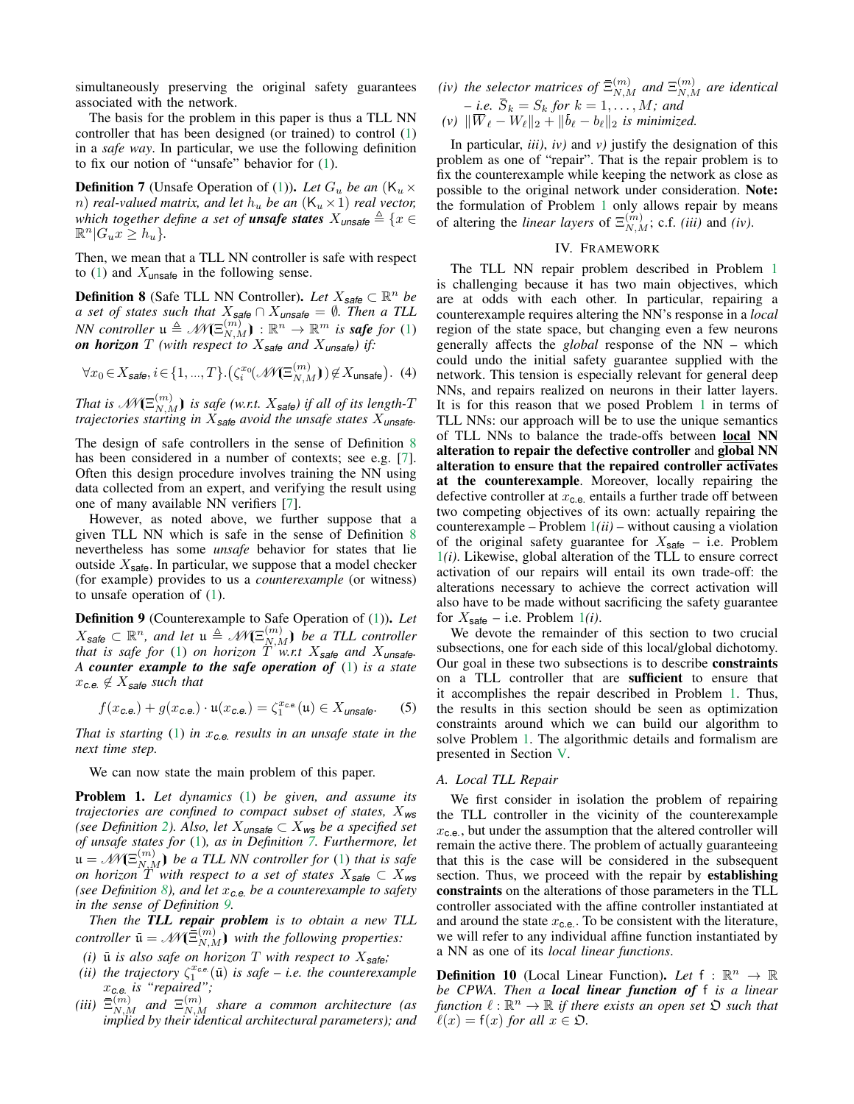simultaneously preserving the original safety guarantees associated with the network.

The basis for the problem in this paper is thus a TLL NN controller that has been designed (or trained) to control [\(1\)](#page-1-0) in a *safe way*. In particular, we use the following definition to fix our notion of "unsafe" behavior for [\(1\)](#page-1-0).

<span id="page-2-1"></span>**Definition 7** (Unsafe Operation of [\(1\)](#page-1-0)). Let  $G_u$  be an  $(K_u \times$ *n*) *real-valued matrix, and let*  $h_u$  *be an*  $(K_u \times 1)$  *real vector, which together define a set of unsafe states*  $X_{\text{unsafe}} \triangleq \{x \in X\}$  $\mathbb{R}^n | G_u x \geq h_u$ .

Then, we mean that a TLL NN controller is safe with respect to [\(1\)](#page-1-0) and  $X_{\text{unsafe}}$  in the following sense.

<span id="page-2-0"></span>**Definition 8** (Safe TLL NN Controller). Let  $X_{\text{safe}} \subset \mathbb{R}^n$  be *a set of states such that* X*safe* ∩ X*unsafe* = ∅*. Then a TLL NN controller*  $\mathfrak{u} \triangleq \mathcal{M}(\Xi_{N,M}^{(m)}) : \mathbb{R}^n \to \mathbb{R}^m$  *is safe for* [\(1\)](#page-1-0) *on horizon*  $T$  (with respect to  $X_{\text{safe}}$  and  $X_{\text{unsafe}}$ ) if:

$$
\forall x_0 \in X_{\text{safe}}, i \in \{1, ..., T\}.(\zeta_i^{x_0}(\mathcal{N}\mathcal{K}\Xi_{N,M}^{(m)})) \not\in X_{\text{unsafe}}). (4)
$$

*That is*  $\mathscr{N\!N}(\Xi^{(m)}_{N,M})$  *is safe (w.r.t.*  $X_{\mathsf{safe}}$ *) if all of its length-T trajectories starting in* X*safe avoid the unsafe states* X*unsafe.*

The design of safe controllers in the sense of Definition [8](#page-2-0) has been considered in a number of contexts; see e.g. [\[7\]](#page-7-6). Often this design procedure involves training the NN using data collected from an expert, and verifying the result using one of many available NN verifiers [\[7\]](#page-7-6).

However, as noted above, we further suppose that a given TLL NN which is safe in the sense of Definition [8](#page-2-0) nevertheless has some *unsafe* behavior for states that lie outside  $X_{\text{safe}}$ . In particular, we suppose that a model checker (for example) provides to us a *counterexample* (or witness) to unsafe operation of [\(1\)](#page-1-0).

<span id="page-2-2"></span>Definition 9 (Counterexample to Safe Operation of [\(1\)](#page-1-0)). *Let*  $X_{\mathsf{safe}} \subset \mathbb{R}^n$ , and let  $\mathfrak{u} \triangleq \mathcal{M}(\Xi_{N,M}^{(m)})$  be a TLL controller *that is safe for* [\(1\)](#page-1-0) *on horizon* T *w.r.t* X*safe and* X*unsafe. A counter example to the safe operation of* [\(1\)](#page-1-0) *is a state*  $x_{c.e.} \notin X_{\text{safe}}$  *such that* 

$$
f(x_{\text{c.e.}}) + g(x_{\text{c.e.}}) \cdot \mathfrak{u}(x_{\text{c.e.}}) = \zeta_1^{x_{\text{c.e.}}}(\mathfrak{u}) \in X_{\text{unsafe}}.
$$
 (5)

*That is starting* [\(1\)](#page-1-0) *in* x*c.e. results in an unsafe state in the next time step.*

We can now state the main problem of this paper.

<span id="page-2-3"></span>Problem 1. *Let dynamics* [\(1\)](#page-1-0) *be given, and assume its trajectories are confined to compact subset of states,* X*ws (see Definition [2\)](#page-1-2). Also, let*  $X_{\text{unsafe}} \subset X_{\text{ws}}$  *be a specified set of unsafe states for* [\(1\)](#page-1-0)*, as in Definition [7.](#page-2-1) Furthermore, let*  $\mathfrak{u} = \mathscr{M}(\Xi_{N,M}^{(m)})$  be a TLL NN controller for [\(1\)](#page-1-0) that is safe *on horizon* T *with respect to a set of states* X*safe* ⊂ X*ws (see Definition [8\)](#page-2-0), and let* x*c.e. be a counterexample to safety in the sense of Definition [9.](#page-2-2)*

*Then the TLL repair problem is to obtain a new TLL controller*  $\bar{\mathbf{u}} = \mathcal{M}(\bar{\Xi}_{N,M}^{(m)})$  *with the following properties:* 

- *(i)*  $\bar{u}$  *is also safe on horizon*  $T$  *with respect to*  $X_{\text{safe}}$ *;*
- (*ii*) the trajectory  $\zeta_1^{x_{\text{ce}}}( \bar{u} )$  is safe *i.e.* the counterexample x*c.e. is "repaired";*
- (iii)  $\bar{\Xi}_{N,M}^{(m)}$  and  $\Xi_{N,M}^{(m)}$  share a common architecture (as *implied by their identical architectural parameters); and*

*(iv)* the selector matrices of  $\bar{\Xi}_{N,M}^{(m)}$  and  $\Xi_{N,M}^{(m)}$  are identical  $-$  *i.e.*  $S_k = S_k$  for  $k = 1, \ldots, M$ ; and

(v) 
$$
\|\overline{W}_{\ell} - W_{\ell}\|_2 + \|\overline{b}_{\ell} - b_{\ell}\|_2
$$
 is minimized.

In particular, *iii)*, *iv)* and *v)* justify the designation of this problem as one of "repair". That is the repair problem is to fix the counterexample while keeping the network as close as possible to the original network under consideration. Note: the formulation of Problem [1](#page-2-3) only allows repair by means of altering the *linear layers* of  $\Xi_{N,M}^{(m)}$ ; c.f. *(iii)* and *(iv)*.

#### IV. FRAMEWORK

<span id="page-2-4"></span>The TLL NN repair problem described in Problem [1](#page-2-3) is challenging because it has two main objectives, which are at odds with each other. In particular, repairing a counterexample requires altering the NN's response in a *local* region of the state space, but changing even a few neurons generally affects the *global* response of the NN – which could undo the initial safety guarantee supplied with the network. This tension is especially relevant for general deep NNs, and repairs realized on neurons in their latter layers. It is for this reason that we posed Problem [1](#page-2-3) in terms of TLL NNs: our approach will be to use the unique semantics of TLL NNs to balance the trade-offs between local NN alteration to repair the defective controller and global NN alteration to ensure that the repaired controller activates at the counterexample. Moreover, locally repairing the defective controller at  $x_{c,e}$  entails a further trade off between two competing objectives of its own: actually repairing the counterexample – Problem [1](#page-2-3)*(ii)* – without causing a violation of the original safety guarantee for  $X_{\text{safe}}$  – i.e. Problem [1](#page-2-3)*(i)*. Likewise, global alteration of the TLL to ensure correct activation of our repairs will entail its own trade-off: the alterations necessary to achieve the correct activation will also have to be made without sacrificing the safety guarantee for  $X_{\text{safe}}$  – i.e. Problem [1](#page-2-3)*(i)*.

We devote the remainder of this section to two crucial subsections, one for each side of this local/global dichotomy. Our goal in these two subsections is to describe constraints on a TLL controller that are sufficient to ensure that it accomplishes the repair described in Problem [1.](#page-2-3) Thus, the results in this section should be seen as optimization constraints around which we can build our algorithm to solve Problem [1.](#page-2-3) The algorithmic details and formalism are presented in Section [V.](#page-5-0)

# *A. Local TLL Repair*

We first consider in isolation the problem of repairing the TLL controller in the vicinity of the counterexample  $x_{c,e}$ , but under the assumption that the altered controller will remain the active there. The problem of actually guaranteeing that this is the case will be considered in the subsequent section. Thus, we proceed with the repair by **establishing** constraints on the alterations of those parameters in the TLL controller associated with the affine controller instantiated at and around the state  $x_{c.e.}$ . To be consistent with the literature, we will refer to any individual affine function instantiated by a NN as one of its *local linear functions*.

**Definition 10** (Local Linear Function). Let  $f : \mathbb{R}^n \to \mathbb{R}$ *be CPWA. Then a local linear function of* f *is a linear*  $f$ *unction*  $\ell : \mathbb{R}^n \to \mathbb{R}$  *if there exists an open set*  $\mathfrak D$  *such that*  $\ell(x) = f(x)$  *for all*  $x \in \mathfrak{O}$ *.*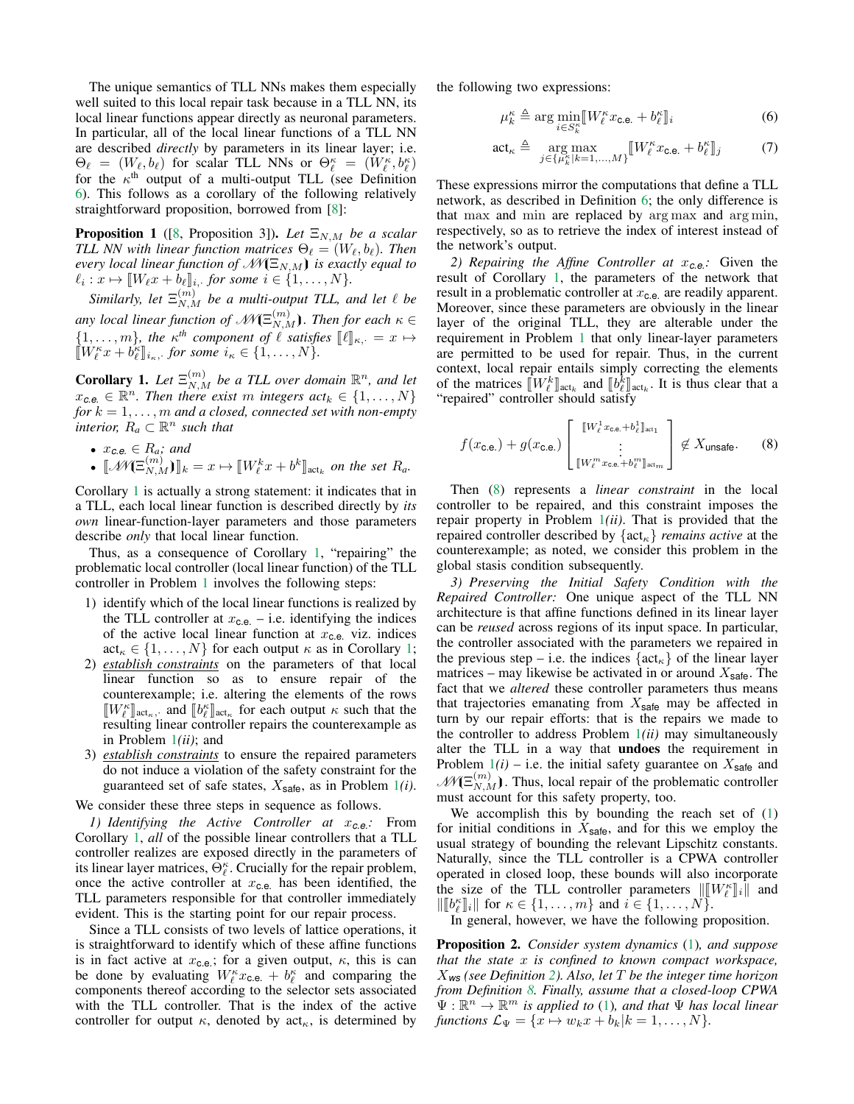The unique semantics of TLL NNs makes them especially well suited to this local repair task because in a TLL NN, its local linear functions appear directly as neuronal parameters. In particular, all of the local linear functions of a TLL NN are described *directly* by parameters in its linear layer; i.e.  $\Theta_{\ell} = (W_{\ell}, b_{\ell})$  for scalar TLL NNs or  $\Theta_{\ell}^{\kappa} = (W_{\ell}^{\kappa}, b_{\ell}^{\kappa})$ for the  $\kappa^{\text{th}}$  output of a multi-output TLL (see Definition [6\)](#page-1-3). This follows as a corollary of the following relatively straightforward proposition, borrowed from [\[8\]](#page-7-7):

<span id="page-3-6"></span>**Proposition 1** ([\[8,](#page-7-7) Proposition 3]). Let  $\Xi_{N,M}$  be a scalar *TLL NN with linear function matrices*  $\Theta_{\ell} = (W_{\ell}, b_{\ell})$ *. Then every local linear function of*  $\mathcal{M}(\Xi_{N,M})$  *is exactly equal to*  $\ell_i: x \mapsto [W_\ell x + b_\ell]_i$ , for some  $i \in \{1, \ldots, N\}$ .<br>*G*irology  $I_i \subset [m]$ , *for some*  $i \in \{1, \ldots, N\}$ .

*Similarly, let*  $\Xi_{N,M}^{(m)}$  *be a multi-output TLL, and let*  $\ell$  *be* any local linear function of  $\mathscr{M}(\Xi_{N,M}^{(m)})$ . Then for each  $\kappa \in$  $\{1, \ldots, m\}$ , the  $\kappa^{th}$  component of  $\ell$  satisfies  $[\ell]_{\kappa, \cdot} = x \mapsto$ <br> $[\![V^{\kappa}x + b^{\kappa}]\!]$ . for some  $i \in \{1, \ldots, N\}$  $\llbracket W_{\ell}^{\kappa} x + b_{\ell}^{\kappa} \rrbracket_{i_{\kappa},\cdot}$  for some  $i_{\kappa} \in \{1, \ldots, N\}.$ 

<span id="page-3-0"></span>**Corollary 1.** Let  $\Xi_{N,M}^{(m)}$  be a TLL over domain  $\mathbb{R}^n$ , and let  $x_{c.e.} \in \mathbb{R}^n$ . Then there exist m integers  $act_k \in \{1, \ldots, N\}$ *for* k = 1, . . . , m *and a closed, connected set with non-empty interior,*  $R_a \subset \mathbb{R}^n$  *such that* 

• 
$$
x_{c.e.} \in R_a
$$
; and  
\n•  $[\mathcal{M}(\Xi_{N,M}^{(m)})]_k = x \mapsto [W_\ell^k x + b^k]_{\text{act}_k}$  on the set  $R_a$ .

Corollary [1](#page-3-0) is actually a strong statement: it indicates that in a TLL, each local linear function is described directly by *its own* linear-function-layer parameters and those parameters describe *only* that local linear function.

Thus, as a consequence of Corollary [1,](#page-3-0) "repairing" the problematic local controller (local linear function) of the TLL controller in Problem [1](#page-2-3) involves the following steps:

- 1) identify which of the local linear functions is realized by the TLL controller at  $x_{c.e.}$  – i.e. identifying the indices of the active local linear function at  $x_{c,e}$  viz. indices  $\text{act}_{\kappa} \in \{1, \ldots, N\}$  for each output  $\kappa$  as in Corollary [1;](#page-3-0)
- 2) *establish constraints* on the parameters of that local linear function so as to ensure repair of the counterexample; i.e. altering the elements of the rows  $\llbracket W_{\ell}^{\kappa} \rrbracket_{\text{act}_{\kappa}}$ , and  $\llbracket b_{\ell}^{\kappa} \rrbracket_{\text{act}_{\kappa}}$  for each output  $\kappa$  such that the resulting linear controller repairs the counterexample as resulting linear controller repairs the counterexample as in Problem [1](#page-2-3)*(ii)*; and
- 3) *establish constraints* to ensure the repaired parameters do not induce a violation of the safety constraint for the guaranteed set of safe states,  $X_{\text{safe}}$ , as in Problem  $1(i)$  $1(i)$ .

# We consider these three steps in sequence as follows.

<span id="page-3-3"></span>*1) Identifying the Active Controller at* x*c.e.:* From Corollary [1,](#page-3-0) *all* of the possible linear controllers that a TLL controller realizes are exposed directly in the parameters of its linear layer matrices,  $\hat{\Theta}_{\ell}^{\kappa}$ . Crucially for the repair problem, once the active controller at  $x_{c,e}$  has been identified, the TLL parameters responsible for that controller immediately evident. This is the starting point for our repair process.

Since a TLL consists of two levels of lattice operations, it is straightforward to identify which of these affine functions is in fact active at  $x_{\text{c.e.}}$ ; for a given output,  $\kappa$ , this is can be done by evaluating  $W_\ell^k x_{\text{c.e.}} + b_\ell^k$  and comparing the components thereof according to the selector sets associated with the TLL controller. That is the index of the active controller for output  $\kappa$ , denoted by act<sub> $\kappa$ </sub>, is determined by the following two expressions:

$$
\mu_k^{\kappa} \triangleq \arg \min_{i \in S_k^{\kappa}} \llbracket W_\ell^{\kappa} x_{\text{c.e.}} + b_\ell^{\kappa} \rrbracket_i \tag{6}
$$

$$
\text{act}_{\kappa} \triangleq \underset{j \in \{\mu_{k}^{\kappa} | k=1,...,M\}}{\arg \max} \llbracket W_{\ell}^{\kappa} x_{\text{c.e.}} + b_{\ell}^{\kappa} \rrbracket_{j} \tag{7}
$$

These expressions mirror the computations that define a TLL network, as described in Definition [6;](#page-1-3) the only difference is that max and min are replaced by arg max and arg min, respectively, so as to retrieve the index of interest instead of the network's output.

<span id="page-3-4"></span>*2) Repairing the Affine Controller at* x*c.e.:* Given the result of Corollary [1,](#page-3-0) the parameters of the network that result in a problematic controller at  $x_{c,e}$  are readily apparent. Moreover, since these parameters are obviously in the linear layer of the original TLL, they are alterable under the requirement in Problem [1](#page-2-3) that only linear-layer parameters are permitted to be used for repair. Thus, in the current context, local repair entails simply correcting the elements of the matrices  $\llbracket W_{k}^{k} \rrbracket_{\text{act}_{k}}$  and  $\llbracket b_{\ell}^{k} \rrbracket_{\text{act}_{k}}$ . It is thus clear that a "repaired" controller should satisfy of the matrices  $\llbracket W_{\ell} \rrbracket_{\text{act}_k}$  and  $\llbracket O_{\ell} \rrbracket_{\text{a}}$ <br>"repaired" controller should satisfy

<span id="page-3-1"></span>
$$
f(x_{\text{c.e.}}) + g(x_{\text{c.e.}}) \begin{bmatrix} \llbracket W_\ell^1 x_{\text{c.e.}} + b_\ell^1 \rrbracket_{\text{act}_1} \\ \vdots \\ \llbracket W_\ell^m x_{\text{c.e.}} + b_\ell^m \rrbracket_{\text{act}_m} \end{bmatrix} \notin X_{\text{unsafe}}.
$$
 (8)

Then [\(8\)](#page-3-1) represents a *linear constraint* in the local controller to be repaired, and this constraint imposes the repair property in Problem [1](#page-2-3)*(ii)*. That is provided that the repaired controller described by  $\{\text{act}_{\kappa}\}\$  *remains active* at the counterexample; as noted, we consider this problem in the global stasis condition subsequently.

<span id="page-3-5"></span>*3) Preserving the Initial Safety Condition with the Repaired Controller:* One unique aspect of the TLL NN architecture is that affine functions defined in its linear layer can be *reused* across regions of its input space. In particular, the controller associated with the parameters we repaired in the previous step – i.e. the indices  $\{\text{act}_{\kappa}\}\)$  of the linear layer matrices – may likewise be activated in or around  $X_{\text{safe}}$ . The fact that we *altered* these controller parameters thus means that trajectories emanating from  $X_{\text{safe}}$  may be affected in turn by our repair efforts: that is the repairs we made to the controller to address Problem [1](#page-2-3)*(ii)* may simultaneously alter the TLL in a way that undoes the requirement in Problem  $1(i)$  $1(i)$  – i.e. the initial safety guarantee on  $X_{\text{safe}}$  and  $\mathscr{M}(\Xi_{N,M}^{(m)})$ . Thus, local repair of the problematic controller must account for this safety property, too.

We accomplish this by bounding the reach set of [\(1\)](#page-1-0) for initial conditions in  $X_{\text{safe}}$ , and for this we employ the usual strategy of bounding the relevant Lipschitz constants. Naturally, since the TLL controller is a CPWA controller operated in closed loop, these bounds will also incorporate the size of the TLL controller parameters  $\left\| \begin{bmatrix} W^{\kappa} \\ \ell \end{bmatrix} \right\|$  and  $\left\| \begin{bmatrix} W^{\kappa} \\ \ell \end{bmatrix} \right\|$  for  $\kappa \in \{1, \ldots, m\}$  and  $i \in \{1, \ldots, N\}$  $\begin{bmatrix} \begin{bmatrix} b_{k}^{k} \end{bmatrix} \begin{bmatrix} k \end{bmatrix} \text{ for } \kappa \in \{1, \ldots, m\} \text{ and } i \in \{1, \ldots, N\}. \end{bmatrix}$ 

In general, however, we have the following proposition.

<span id="page-3-2"></span>Proposition 2. *Consider system dynamics* [\(1\)](#page-1-0)*, and suppose that the state* x *is confined to known compact workspace,* X*ws (see Definition [2\)](#page-1-2). Also, let* T *be the integer time horizon from Definition [8.](#page-2-0) Finally, assume that a closed-loop CPWA*  $\Psi: \mathbb{R}^n \to \mathbb{R}^m$  is applied to [\(1\)](#page-1-0), and that  $\Psi$  has local linear *functions*  $\mathcal{L}_{\Psi} = \{x \mapsto w_k x + b_k | k = 1, \dots, N\}.$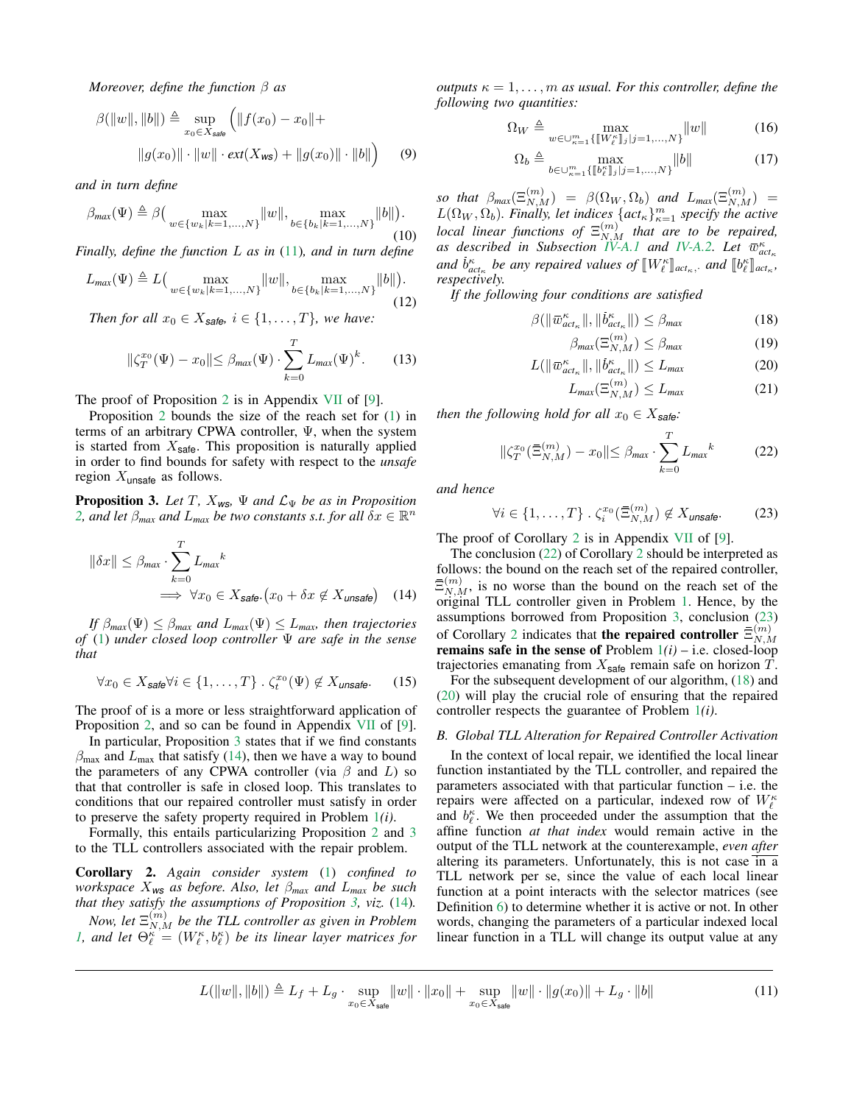*Moreover, define the function* β *as*

$$
\beta(||w||, ||b||) \triangleq \sup_{x_0 \in X_{\text{safe}}} (||f(x_0) - x_0|| + ||g(x_0)|| \cdot ||w|| \cdot ext(X_{\text{ws}}) + ||g(x_0)|| \cdot ||b||)
$$
(9)

*and in turn define*

$$
\beta_{\text{max}}(\Psi) \triangleq \beta \Big( \max_{w \in \{w_k | k=1,\dots,N\}} ||w||, \max_{b \in \{b_k | k=1,\dots,N\}} ||b|| \Big). \tag{10}
$$

*Finally, define the function* L *as in* [\(11\)](#page-4-0)*, and in turn define*

$$
L_{\max}(\Psi) \triangleq L\left(\max_{w \in \{w_k | k=1,\dots,N\}} \lVert w \rVert, \max_{b \in \{b_k | k=1,\dots,N\}} \lVert b \rVert\right).
$$
\n(12)

*Then for all*  $x_0 \in X_{\text{safe}}, i \in \{1, \ldots, T\}$ *, we have:* 

<span id="page-4-10"></span>
$$
\|\zeta_T^{x_0}(\Psi) - x_0\| \le \beta_{\text{max}}(\Psi) \cdot \sum_{k=0}^T L_{\text{max}}(\Psi)^k. \tag{13}
$$

The proof of Proposition [2](#page-3-2) is in Appendix [VII](#page-8-0) of [\[9\]](#page-7-8).

Proposition [2](#page-3-2) bounds the size of the reach set for [\(1\)](#page-1-0) in terms of an arbitrary CPWA controller, Ψ, when the system is started from  $X_{\text{safe}}$ . This proposition is naturally applied in order to find bounds for safety with respect to the *unsafe* region  $X_{\text{unsafe}}$  as follows.

<span id="page-4-1"></span>**Proposition 3.** Let T,  $X_{ws}$ ,  $\Psi$  and  $\mathcal{L}_{\Psi}$  be as in Proposition [2,](#page-3-2) and let  $\beta_{max}$  and  $L_{max}$  be two constants s.t. for all  $\delta x \in \mathbb{R}^n$ 

$$
\|\delta x\| \le \beta_{\text{max}} \cdot \sum_{k=0}^{T} L_{\text{max}}^{k}
$$
  
\n
$$
\implies \forall x_0 \in X_{\text{safe}} \cdot (x_0 + \delta x \notin X_{\text{unsafe}}) \quad (14)
$$

*If*  $\beta_{max}(\Psi) \leq \beta_{max}$  *and*  $L_{max}(\Psi) \leq L_{max}$ *, then trajectories of* [\(1\)](#page-1-0) *under closed loop controller* Ψ *are safe in the sense that*

$$
\forall x_0 \in X_{\text{safe}} \forall i \in \{1, \dots, T\} \; . \; \zeta_t^{x_0}(\Psi) \notin X_{\text{unsafe}}.\tag{15}
$$

The proof of is a more or less straightforward application of Proposition [2,](#page-3-2) and so can be found in Appendix [VII](#page-8-0) of [\[9\]](#page-7-8).

In particular, Proposition [3](#page-4-1) states that if we find constants  $\beta_{\text{max}}$  and  $L_{\text{max}}$  that satisfy [\(14\)](#page-4-2), then we have a way to bound the parameters of any CPWA controller (via  $\beta$  and L) so that that controller is safe in closed loop. This translates to conditions that our repaired controller must satisfy in order to preserve the safety property required in Problem [1](#page-2-3)*(i)*.

Formally, this entails particularizing Proposition [2](#page-3-2) and [3](#page-4-1) to the TLL controllers associated with the repair problem.

<span id="page-4-3"></span>Corollary 2. *Again consider system* [\(1\)](#page-1-0) *confined to workspace* X*ws as before. Also, let* β*max and* L*max be such that they satisfy the assumptions of Proposition [3,](#page-4-1) viz.* [\(14\)](#page-4-2)*.*

Now, let  $\Xi_{N,M}^{(m)}$  be the TLL controller as given in Problem *[1,](#page-2-3)* and let  $\Theta_{\ell}^{\kappa} = (W_{\ell}^{\kappa}, b_{\ell}^{\kappa})$  be its linear layer matrices for

*outputs*  $\kappa = 1, \ldots, m$  *as usual. For this controller, define the following two quantities:*

$$
\Omega_W \triangleq \max_{w \in \bigcup_{\kappa=1}^m \{[W_{\ell}^{\kappa}]\}_j = 1,\dots,N\}} \|w\| \tag{16}
$$

$$
\Omega_b \triangleq \max_{b \in \bigcup_{\kappa=1}^m \{ [\![b_{\ell}^{\kappa}]\!]_j | j=1,\ldots,N\}} \|b\| \tag{17}
$$

*so that*  $\beta_{max}(\Xi_{N,M}^{(m)}) = \beta(\Omega_W, \Omega_b)$  *and*  $L_{max}(\Xi_{N,M}^{(m)}) =$  $L(\Omega_W, \Omega_b)$ *. Finally, let indices*  $\{act_\kappa\}_{\kappa=1}^m$  *specify the active local linear functions of*  $\Xi_{N,M}^{(m)}$  *that are to be repaired, as described in Subsection [IV-A.1](#page-3-3) and [IV-A.2.](#page-3-4) Let*  $\bar{w}_{act_{\kappa}}^{\kappa}$ *and*  $\bar{b}^{\kappa}_{ac}$  *be any repaired values of*  $\llbracket W^{\kappa}_{\ell} \rrbracket_{act_{\kappa}},$  *and*  $\llbracket b^{\kappa}_{\ell} \rrbracket_{act_{\kappa}},$ <br>respectively *respectively.*

*If the following four conditions are satisfied*

$$
\beta(\|\bar{w}_{act_{\kappa}}^{\kappa}\|,\|\bar{b}_{act_{\kappa}}^{\kappa}\|) \leq \beta_{max} \tag{18}
$$

<span id="page-4-8"></span><span id="page-4-6"></span>
$$
\beta_{max}(\Xi_{N,M}^{(m)}) \le \beta_{max} \tag{19}
$$

$$
L(||\bar{w}_{act_{\kappa}}^{\kappa}||, ||\dot{b}_{act_{\kappa}}^{\kappa}||) \le L_{max}
$$
 (20)

<span id="page-4-9"></span><span id="page-4-7"></span>
$$
L_{max}(\Xi_{N,M}^{(m)}) \le L_{max} \tag{21}
$$

*then the following hold for all*  $x_0 \in X_{\text{safe}}$ *:* 

<span id="page-4-4"></span>
$$
\|\zeta_T^{x_0}(\bar{\Xi}_{N,M}^{(m)}) - x_0\| \le \beta_{\text{max}} \cdot \sum_{k=0}^T L_{\text{max}}^k \tag{22}
$$

*and hence*

<span id="page-4-5"></span>
$$
\forall i \in \{1, \dots, T\} \; . \; \zeta_i^{x_0}(\bar{\Xi}_{N,M}^{(m)}) \notin X_{\text{unsafe}}.
$$

The proof of Corollary [2](#page-4-3) is in Appendix [VII](#page-8-0) of [\[9\]](#page-7-8).

<span id="page-4-2"></span>The conclusion [\(22\)](#page-4-4) of Corollary [2](#page-4-3) should be interpreted as follows: the bound on the reach set of the repaired controller,  $\bar{\Xi}_{N,M}^{(m)}$ , is no worse than the bound on the reach set of the original TLL controller given in Problem [1.](#page-2-3) Hence, by the assumptions borrowed from Proposition [3,](#page-4-1) conclusion [\(23\)](#page-4-5) of Corollary [2](#page-4-3) indicates that the repaired controller  $\bar{\Xi}_{N}^{(m)}$  $_{N,M}$ **remains safe in the sense of Problem**  $1(i)$  $1(i)$  **– i.e. closed-loop** trajectories emanating from  $X_{\text{safe}}$  remain safe on horizon  $T$ .

For the subsequent development of our algorithm, [\(18\)](#page-4-6) and [\(20\)](#page-4-7) will play the crucial role of ensuring that the repaired controller respects the guarantee of Problem [1](#page-2-3)*(i)*.

## *B. Global TLL Alteration for Repaired Controller Activation*

In the context of local repair, we identified the local linear function instantiated by the TLL controller, and repaired the parameters associated with that particular function – i.e. the repairs were affected on a particular, indexed row of  $W_\ell^{\kappa}$ and  $b_{\ell}^{\kappa}$ . We then proceeded under the assumption that the affine function *at that index* would remain active in the output of the TLL network at the counterexample, *even after* altering its parameters. Unfortunately, this is not case in a TLL network per se, since the value of each local linear function at a point interacts with the selector matrices (see Definition [6\)](#page-1-3) to determine whether it is active or not. In other words, changing the parameters of a particular indexed local linear function in a TLL will change its output value at any

<span id="page-4-0"></span>
$$
L(\|w\|, \|b\|) \triangleq L_f + L_g \cdot \sup_{x_0 \in X_{\text{safe}}} \|w\| \cdot \|x_0\| + \sup_{x_0 \in X_{\text{safe}}} \|w\| \cdot \|g(x_0)\| + L_g \cdot \|b\| \tag{11}
$$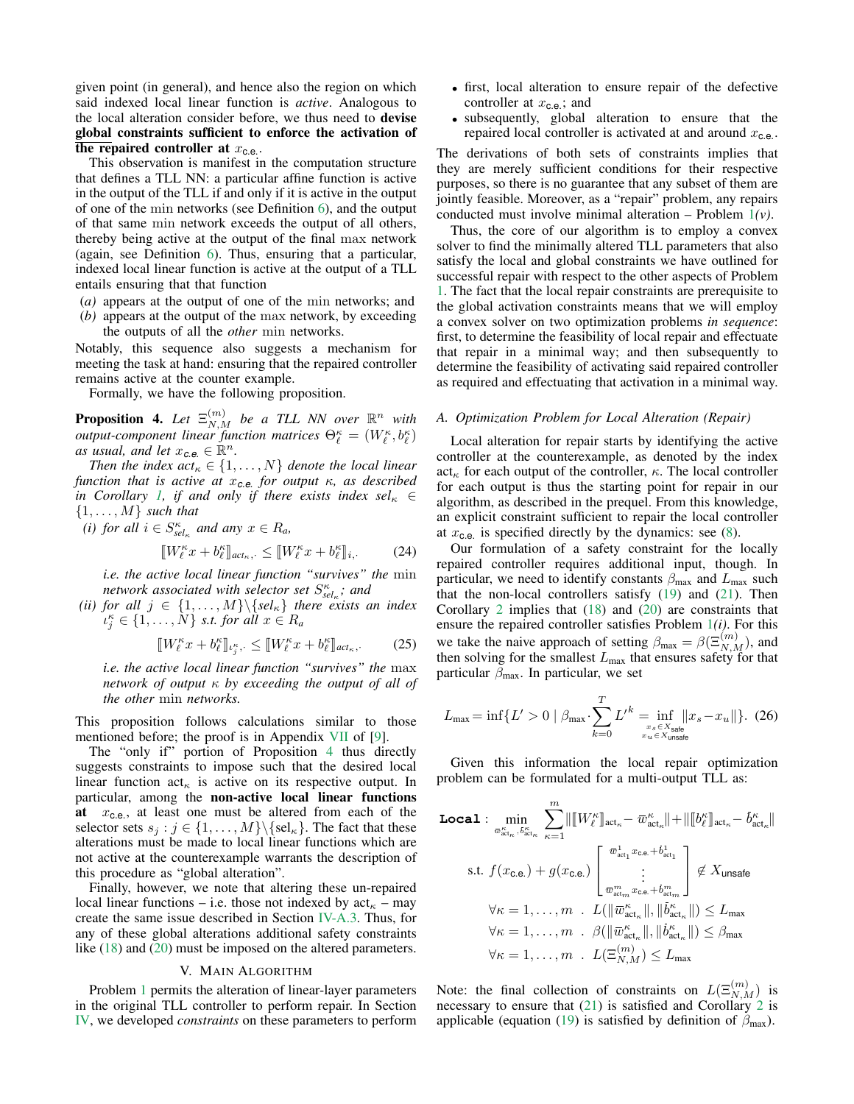given point (in general), and hence also the region on which said indexed local linear function is *active*. Analogous to the local alteration consider before, we thus need to devise global constraints sufficient to enforce the activation of the repaired controller at  $x_{\text{c.e.}}$ .

This observation is manifest in the computation structure that defines a TLL NN: a particular affine function is active in the output of the TLL if and only if it is active in the output of one of the min networks (see Definition [6\)](#page-1-3), and the output of that same min network exceeds the output of all others, thereby being active at the output of the final max network (again, see Definition [6\)](#page-1-3). Thus, ensuring that a particular, indexed local linear function is active at the output of a TLL entails ensuring that that function

- (*a)* appears at the output of one of the min networks; and
- (*b)* appears at the output of the max network, by exceeding the outputs of all the *other* min networks.

Notably, this sequence also suggests a mechanism for meeting the task at hand: ensuring that the repaired controller remains active at the counter example.

Formally, we have the following proposition.

<span id="page-5-1"></span>**Proposition 4.** Let  $\Xi_{N,M}^{(m)}$  be a TLL NN over  $\mathbb{R}^n$  with *output-component linear function matrices*  $\Theta_{\ell}^{\kappa} = (W_{\ell}^{\kappa}, b_{\ell}^{\kappa})$ as usual, and let  $x_{c.e.} \in \mathbb{R}^n$ .

*Then the index*  $act_{\kappa} \in \{1, ..., N\}$  *denote the local linear function that is active at* x*c.e. for output* κ*, as described in Corollary [1,](#page-3-0) if and only if there exists index sel* $\kappa \in$  $\{1, \ldots, M\}$  *such that* 

*(i) for all*  $i \in S_{sel_{\kappa}}^{\kappa}$  *and any*  $x \in R_a$ *,* 

$$
\llbracket W_{\ell}^{\kappa} x + b_{\ell}^{\kappa} \rrbracket_{act_{\kappa},\cdot} \leq \llbracket W_{\ell}^{\kappa} x + b_{\ell}^{\kappa} \rrbracket_{i,\cdot} \tag{24}
$$

*i.e. the active local linear function "survives" the* min *network associated with selector set*  $S_{sel_{\kappa}}^{\kappa}$ ; and

*(ii) for all*  $j \in \{1, ..., M\} \setminus \{sel_{\kappa}\}\$  *there exists an index*  $\{\iota_j^{\kappa} \in \{1, \ldots, N\} \text{ s.t. for all } x \in R_a\}$ 

$$
\llbracket W_{\ell}^{\kappa} x + b_{\ell}^{\kappa} \rrbracket_{\iota_j^{\kappa},\cdot} \leq \llbracket W_{\ell}^{\kappa} x + b_{\ell}^{\kappa} \rrbracket_{act_{\kappa},\cdot} \tag{25}
$$

*i.e. the active local linear function "survives" the* max *network of output* κ *by exceeding the output of all of the other* min *networks.*

This proposition follows calculations similar to those mentioned before; the proof is in Appendix [VII](#page-8-0) of [\[9\]](#page-7-8).

The "only if" portion of Proposition [4](#page-5-1) thus directly suggests constraints to impose such that the desired local linear function  $\text{act}_{\kappa}$  is active on its respective output. In particular, among the non-active local linear functions at  $x_{c,e}$ , at least one must be altered from each of the selector sets  $s_j : j \in \{1, ..., M\} \backslash \{\text{sel}_{\kappa}\}\$ . The fact that these alterations must be made to local linear functions which are not active at the counterexample warrants the description of this procedure as "global alteration".

Finally, however, we note that altering these un-repaired local linear functions – i.e. those not indexed by  $\text{act}_{\kappa}$  – may create the same issue described in Section [IV-A.3.](#page-3-5) Thus, for any of these global alterations additional safety constraints like [\(18\)](#page-4-6) and [\(20\)](#page-4-7) must be imposed on the altered parameters.

# V. MAIN ALGORITHM

<span id="page-5-0"></span>Problem [1](#page-2-3) permits the alteration of linear-layer parameters in the original TLL controller to perform repair. In Section [IV,](#page-2-4) we developed *constraints* on these parameters to perform

- first, local alteration to ensure repair of the defective controller at  $x_{c.e.}$ ; and
- subsequently, global alteration to ensure that the repaired local controller is activated at and around  $x_{c.e.}$ .

The derivations of both sets of constraints implies that they are merely sufficient conditions for their respective purposes, so there is no guarantee that any subset of them are jointly feasible. Moreover, as a "repair" problem, any repairs conducted must involve minimal alteration – Problem [1](#page-2-3)*(v)*.

Thus, the core of our algorithm is to employ a convex solver to find the minimally altered TLL parameters that also satisfy the local and global constraints we have outlined for successful repair with respect to the other aspects of Problem [1.](#page-2-3) The fact that the local repair constraints are prerequisite to the global activation constraints means that we will employ a convex solver on two optimization problems *in sequence*: first, to determine the feasibility of local repair and effectuate that repair in a minimal way; and then subsequently to determine the feasibility of activating said repaired controller as required and effectuating that activation in a minimal way.

#### <span id="page-5-2"></span>*A. Optimization Problem for Local Alteration (Repair)*

Local alteration for repair starts by identifying the active controller at the counterexample, as denoted by the index  $\text{act}_{\kappa}$  for each output of the controller,  $\kappa$ . The local controller for each output is thus the starting point for repair in our algorithm, as described in the prequel. From this knowledge, an explicit constraint sufficient to repair the local controller at  $x_{\text{c.e.}}$  is specified directly by the dynamics: see [\(8\)](#page-3-1).

Our formulation of a safety constraint for the locally repaired controller requires additional input, though. In particular, we need to identify constants  $\beta_{\text{max}}$  and  $L_{\text{max}}$  such that the non-local controllers satisfy  $(19)$  and  $(21)$ . Then Corollary [2](#page-4-3) implies that [\(18\)](#page-4-6) and [\(20\)](#page-4-7) are constraints that ensure the repaired controller satisfies Problem [1](#page-2-3)*(i)*. For this we take the naive approach of setting  $\beta_{\text{max}} = \beta(\Xi_{N,M}^{(m)})$ , and then solving for the smallest  $L_{\text{max}}$  that ensures safety for that particular  $\beta_{\text{max}}$ . In particular, we set

$$
L_{\text{max}} = \inf \{ L' > 0 \mid \beta_{\text{max}} \cdot \sum_{k=0}^{T} L'^k = \inf_{\substack{x_s \in X_{\text{safe}} \\ x_u \in X_{\text{unsafe}}}} \|x_s - x_u\|\}. (26)
$$

Given this information the local repair optimization problem can be formulated for a multi-output TLL as:

$$
\begin{aligned}\n\text{Local}: \quad & \min_{\bar{w}_{\text{act}_{\kappa}}^{K}} \sum_{\kappa=1}^{m} \lVert [W_{\ell}^{\kappa}]_{\text{act}_{\kappa}} - \bar{w}_{\text{act}_{\kappa}}^{\kappa} \rVert + \lVert [\![b^{\kappa}_{\ell}]\!]_{\text{act}_{\kappa}} - \bar{b}_{\text{act}_{\kappa}}^{\kappa} \rVert \\
\text{s.t. } f(x_{\text{c.e.}}) + g(x_{\text{c.e.}}) \begin{bmatrix} \bar{w}_{\text{act}_{\kappa}}^{1} - \bar{w}_{\text{act}_{\kappa}}^{\kappa} \rVert + \lVert [\![b^{\kappa}_{\ell}]\!]_{\text{act}_{\kappa}} - \bar{b}_{\text{act}_{\kappa}}^{\kappa} \rVert \\
\vdots \\ \bar{w}_{\text{act}_{\kappa}}^{m} x_{\text{c.e.}} + \bar{b}_{\text{act}_{\kappa}}^{m} \rVert \\
\forall \kappa = 1, \dots, m \quad L(\lVert \bar{w}_{\text{act}_{\kappa}}^{\kappa} \rVert, \lVert \bar{b}_{\text{act}_{\kappa}}^{\kappa} \rVert) \leq L_{\max} \\
\forall \kappa = 1, \dots, m \quad \beta(\lVert \bar{w}_{\text{act}_{\kappa}}^{\kappa} \rVert, \lVert \bar{b}_{\text{act}_{\kappa}}^{\kappa} \rVert) \leq \beta_{\max} \\
\forall \kappa = 1, \dots, m \quad L(\Xi_{N,M}^{(m)}) \leq L_{\max}\n\end{aligned}
$$

Note: the final collection of constraints on  $L(\Xi_{N,M}^{(m)})$  is necessary to ensure that [\(21\)](#page-4-9) is satisfied and Corollary [2](#page-4-3) is applicable (equation [\(19\)](#page-4-8) is satisfied by definition of  $\beta_{\text{max}}$ ).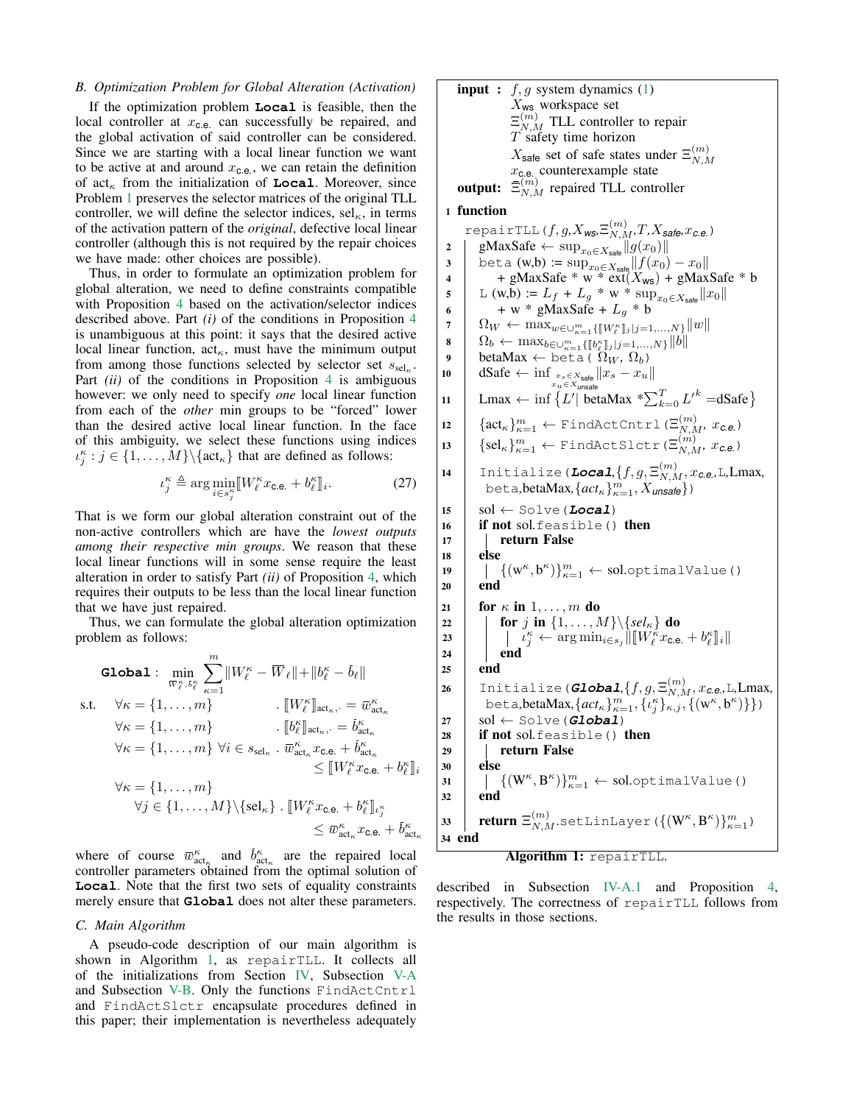### <span id="page-6-1"></span>*B. Optimization Problem for Global Alteration (Activation)*

If the optimization problem **Local** is feasible, then the local controller at  $x_{c.e.}$  can successfully be repaired, and the global activation of said controller can be considered. Since we are starting with a local linear function we want to be active at and around  $x_{\text{c.e.}}$ , we can retain the definition of  $\text{act}_{\kappa}$  from the initialization of **Local**. Moreover, since Problem [1](#page-2-3) preserves the selector matrices of the original TLL controller, we will define the selector indices,  $\text{sel}_{\kappa}$ , in terms of the activation pattern of the *original*, defective local linear controller (although this is not required by the repair choices we have made: other choices are possible).

Thus, in order to formulate an optimization problem for global alteration, we need to define constraints compatible with Proposition [4](#page-5-1) based on the activation/selector indices described above. Part *(i)* of the conditions in Proposition [4](#page-5-1) is unambiguous at this point: it says that the desired active local linear function,  $act_{\kappa}$ , must have the minimum output from among those functions selected by selector set  $s_{\text{sel}_{\kappa}}$ . Part *(ii)* of the conditions in Proposition [4](#page-5-1) is ambiguous however: we only need to specify *one* local linear function from each of the *other* min groups to be "forced" lower than the desired active local linear function. In the face of this ambiguity, we select these functions using indices  $\{\iota_j^{\kappa} : j \in \{1, \ldots, M\} \setminus \{\text{act}_{\kappa}\}\)$  that are defined as follows:

$$
\iota_j^{\kappa} \triangleq \arg \min_{i \in s_j^{\kappa}} [W_{\ell}^{\kappa} x_{\text{c.e.}} + b_{\ell}^{\kappa} ] \, . \tag{27}
$$

That is we form our global alteration constraint out of the non-active controllers which are have the *lowest outputs among their respective min groups*. We reason that these local linear functions will in some sense require the least alteration in order to satisfy Part *(ii)* of Proposition [4,](#page-5-1) which requires their outputs to be less than the local linear function that we have just repaired.

Thus, we can formulate the global alteration optimization problem as follows:

$$
\begin{aligned} \textbf{Global}: \quad & \min_{\overline{w}_{\ell}^{\kappa}, b_{\ell}^{\kappa}} \sum_{\kappa=1}^{m} \|W_{\ell}^{\kappa} - \overline{W}_{\ell}\| + \|b_{\ell}^{\kappa} - \dot{b}_{\ell}\| \\ \text{s.t.} \quad & \forall \kappa = \{1, \ldots, m\} \qquad \qquad . \quad & \|W_{\ell}^{\kappa}\|_{\text{act}_{\kappa}, \cdot} = \overline{w}_{\text{act}_{\kappa}}^{\kappa} \\ & \forall \kappa = \{1, \ldots, m\} \qquad \qquad . \quad & \|b_{\ell}^{\kappa}\|_{\text{act}_{\kappa}, \cdot} = \dot{b}_{\text{act}_{\kappa}}^{\kappa} \\ & \forall \kappa = \{1, \ldots, m\} \; \forall i \in s_{\text{sel}_{\kappa}} \; . \; \overline{w}_{\text{act}_{\kappa}}^{\kappa} x_{\text{c.e.}} + \dot{b}_{\text{act}_{\kappa}}^{\kappa} \\ & \leq \|W_{\ell}^{\kappa} x_{\text{c.e.}} + b_{\ell}^{\kappa}\|_{i} \\ & \forall \kappa = \{1, \ldots, m\} \\ & \forall j \in \{1, \ldots, M\} \backslash \{\text{sel}_{\kappa}\} \; . \; \|W_{\ell}^{\kappa} x_{\text{c.e.}} + b_{\ell}^{\kappa}\|_{\iota_{j}^{\kappa}} \\ & \leq \overline{w}_{\text{act}_{\kappa}}^{\kappa} x_{\text{c.e.}} + \dot{b}_{\text{act}_{\kappa}}^{\kappa} \end{aligned}
$$

where of course  $\overline{w}_{\text{act}_{\kappa}}^{\kappa}$  and  $\overline{b}_{\text{act}_{\kappa}}^{\kappa}$  are the repaired local controller parameters obtained from the optimal solution of **Local**. Note that the first two sets of equality constraints merely ensure that **Global** does not alter these parameters.

#### *C. Main Algorithm*

A pseudo-code description of our main algorithm is shown in Algorithm [1,](#page-6-0) as repairTLL. It collects all of the initializations from Section [IV,](#page-2-4) Subsection [V-A](#page-5-2) and Subsection [V-B.](#page-6-1) Only the functions FindActCntrl and FindActSlctr encapsulate procedures defined in this paper; their implementation is nevertheless adequately **input :**  $f, g$  system dynamics [\(1\)](#page-1-0)  $X_{\text{WS}}$  workspace set  $\Xi_{N,M}^{(m)}$  TLL controller to repair  $T$  safety time horizon  $X_{\text{safe}}$  set of safe states under  $\Xi_{N,M}^{(m)}$  $N, M$  $x_{c.e.}$  counterexample state output:  $\overline{N,N}$  repaired TLL controller

# 1 function

 $\text{repairTLL}(f, g, X_\text{WS}, \Xi_{N,M}^{(m)}, T, X_\text{safe}, x_\text{ce})$ 2 | gMaxSafe ← sup $x_0 \in X_{\text{safe}} || g(x_0) ||$ 3 beta (w,b) :=  $\sup_{x_0 \in X_{\text{safe}}} ||f(x_0) - x_0||$  $4$  + gMaxSafe \* w \* ext( $X_{ws}$ ) + gMaxSafe \* b 5 L (w,b) :=  $L_f + L_g * w * \sup_{x_0 \in X_{\text{safe}}} ||x_0||$ 6 + w \* gMaxSafe +  $L_g$  \* b 7  $\Omega_W \leftarrow \max_{w \in \bigcup_{\kappa=1}^m \{ [W_{\ell}^{\kappa} ]_j | j=1,...,N \} } ||w||$ 8  $\Omega_b^{\nu} \leftarrow \max_{b \in \cup_{\kappa=1}^m \{ [b_{\ell}^{\kappa}]_j | j=1,...,N \} } \|b\|$ <br>
9 betaMax ← beta (  $\Omega_W$ ,  $\Omega_b$ ) 10 dSafe ← inf  $\lim_{x_s \in X_{\text{safe}}} ||x_s - x_u||$ 11 | Lmax  $\leftarrow \inf \{ L' | \text{betaMax} * \sum_{k=0}^{T} L'^k = d\text{Safe} \}$ 12  $\left\{ \text{act}_{\kappa} \right\}_{\kappa=1}^{m} \leftarrow \text{FindActCntrl}(\Xi_{N,M}^{(m)}, x_{\text{c.e.}})$ 13  $\left\{ \text{sel}_{\kappa} \right\}_{\kappa=1}^{m} \leftarrow \text{FindActSlctr}(\Xi_{N,M}^{(m)}, x_{c.e.})$  $\texttt{14} \quad \texttt{Initialize} \, \texttt{(Local}, \{f, g, \Xi_{N,M}^{(m)}, x_{\texttt{C.e.}}, \texttt{L}, \texttt{Lmax}, \texttt{Lmax}, \texttt{Lmax}, \texttt{Lmax}, \texttt{Lmax}, \texttt{Lmax}, \texttt{Lmax}, \texttt{Lmax}, \texttt{Lmax}, \texttt{Lmax}, \texttt{Lmax}, \texttt{Lmax}, \texttt{Lmax}, \texttt{Lmax}, \texttt{Lmax}, \texttt{Lmax}, \texttt{Lmax}, \texttt{Lmax}, \texttt{Lmax}, \texttt{Lmax}, \texttt{Lmax}, \texttt{Lmax}, \texttt{Lmax}, \texttt{$ beta**,betaMax**,  $\{act_{\kappa}\}_{\kappa=1}^m$ ,  $X_{\text{unsafe}}$ )  $15$  sol  $\leftarrow$  Solve (**Local**) <sup>16</sup> if not sol*.*feasible() then 17 | return False 18 else 19  $\left\{ \left( w^{\kappa},b^{\kappa}\right) \right\} _{\kappa=1}^{m}\leftarrow\text{sol}.\text{optimalValue}$  $20$  end 21 **for**  $\kappa$  in  $1, \ldots, m$  do 22 **for** j in  $\{1, \ldots, M\} \backslash \{sel_{\kappa}\}\$  do 23  $\begin{aligned} \begin{array}{c} \mathbf{1}_{\mathcal{L}_{j}^{K}} & \longrightarrow & \mathbf{1}_{\mathcal{L}_{j}^{K}}\left\|\mathbf{1}_{\mathcal{L}_{j}^{K}}\mathbf{1}_{\mathcal{L}_{j}}\mathbf{1}_{\mathcal{L}_{j}}\mathbf{1}_{\mathcal{L}_{j}}\mathbf{1}_{\mathcal{L}_{j}}\mathbf{1}_{\mathcal{L}_{j}}\mathbf{1}_{\mathcal{L}_{j}}\mathbf{1}_{\mathcal{L}_{j}}\mathbf{1}_{\mathcal{L}_{j}}\mathbf{1}_{\mathcal{L}_{j}}\mathbf{1}_{\mathcal{L}_{j}}\mathbf{1}_{\$  $24$  end  $25$  end 26  $\left|$  Initialize(*Global*, $\{f, g, \Xi_{N,M}^{(m)}, x_{c.e.}$ ,L,Lmax, beta, beta Max,  $\{act_{\kappa}\}_{\kappa=1}^m$ ,  $\{ \iota_j^{\kappa} \}_{\kappa,j}$ ,  $\{ (\mathbf{w}^{\kappa}, \mathbf{b}^{\kappa}) \}$ )  $27 \mid \text{sol} \leftarrow \text{Solve}(\text{Global})$ <sup>28</sup> if not sol*.*feasible() then 29 | return False <sup>30</sup> else 31  $\left\{ \left( W^{\kappa},B^{\kappa}\right) \right\} _{\kappa=1}^m\leftarrow\text{sol}.\text{optimalValue}$  $32$ 33  $\Big\|$  return  $\Xi_{N,M}^{(m)}$ .setLinLayer( $\{(\boldsymbol{W}^{\kappa},\boldsymbol{B}^{\kappa})\}_{\kappa=1}^{m}$ ) <sup>34</sup> end

Algorithm 1: repairTLL.

<span id="page-6-0"></span>described in Subsection [IV-A.1](#page-3-3) and Proposition [4,](#page-5-1) respectively. The correctness of repairTLL follows from the results in those sections.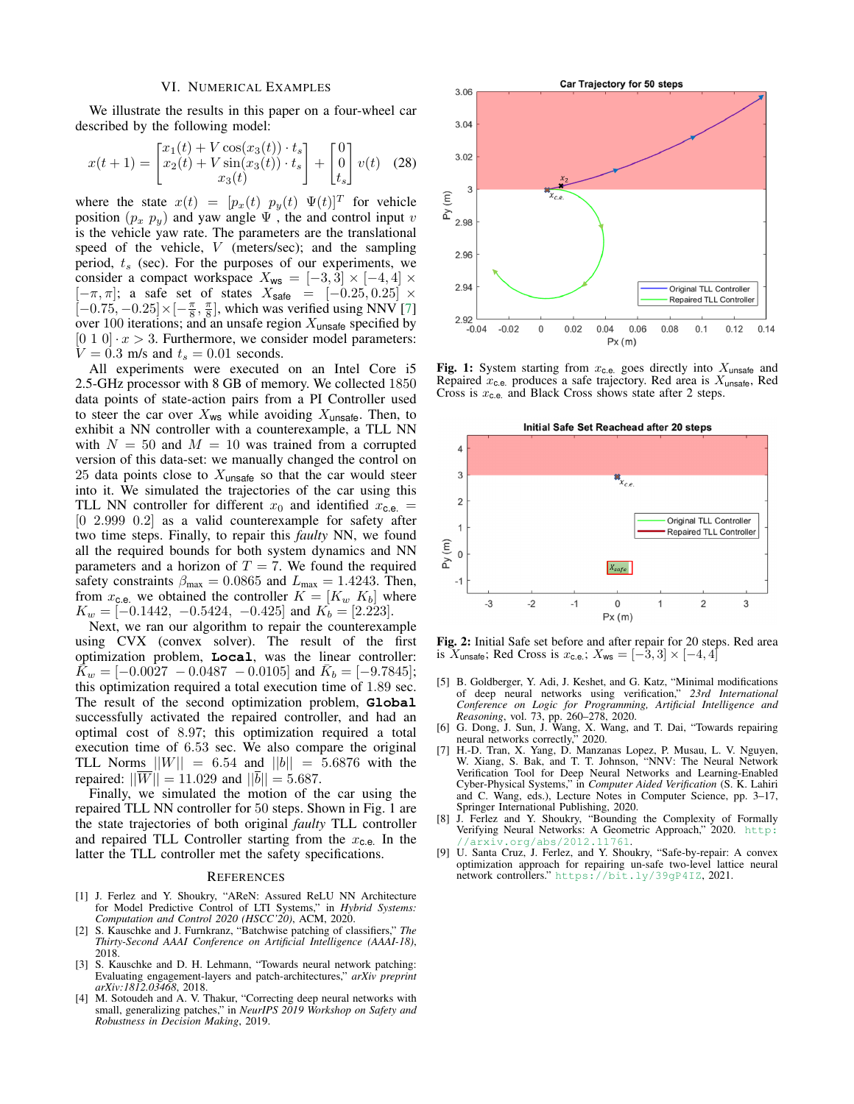#### VI. NUMERICAL EXAMPLES

We illustrate the results in this paper on a four-wheel car described by the following model:

$$
x(t+1) = \begin{bmatrix} x_1(t) + V \cos(x_3(t)) \cdot t_s \\ x_2(t) + V \sin(x_3(t)) \cdot t_s \\ x_3(t) \end{bmatrix} + \begin{bmatrix} 0 \\ 0 \\ t_s \end{bmatrix} v(t) \quad (28)
$$

where the state  $x(t) = [p_x(t) \ p_y(t) \ \Psi(t)]^T$  for vehicle position  $(p_x, p_y)$  and yaw angle  $\Psi$ , the and control input v is the vehicle yaw rate. The parameters are the translational speed of the vehicle, V (meters/sec); and the sampling period,  $t_s$  (sec). For the purposes of our experiments, we consider a compact workspace  $X_{\text{ws}} = [-3, 3] \times [-4, 4] \times$  $[-\pi, \pi]$ ; a safe set of states  $X_{\text{safe}} = [-0.25, 0.25] \times$  $[-0.75, -0.25] \times [-\frac{\pi}{8}, \frac{\pi}{8}]$ , which was verified using NNV [\[7\]](#page-7-6) over 100 iterations; and an unsafe region  $X_{\text{unsafe}}$  specified by  $[0 1 0] \cdot x > 3$ . Furthermore, we consider model parameters:  $V = 0.3$  m/s and  $t_s = 0.01$  seconds.

All experiments were executed on an Intel Core i5 2.5-GHz processor with 8 GB of memory. We collected 1850 data points of state-action pairs from a PI Controller used to steer the car over  $X_{ws}$  while avoiding  $X_{unsafe}$ . Then, to exhibit a NN controller with a counterexample, a TLL NN with  $N = 50$  and  $M = 10$  was trained from a corrupted version of this data-set: we manually changed the control on 25 data points close to  $X<sub>unsafe</sub>$  so that the car would steer into it. We simulated the trajectories of the car using this TLL NN controller for different  $x_0$  and identified  $x_{c.e.}$  = [0 2.999 0.2] as a valid counterexample for safety after two time steps. Finally, to repair this *faulty* NN, we found all the required bounds for both system dynamics and NN parameters and a horizon of  $T = 7$ . We found the required safety constraints  $\beta_{\text{max}} = 0.0865$  and  $L_{\text{max}} = 1.4243$ . Then, from  $x_{c.e.}$  we obtained the controller  $K = [K_w, K_b]$  where  $K_w = [-0.1442, -0.5424, -0.425]$  and  $K_b = [2.223]$ .

Next, we ran our algorithm to repair the counterexample using CVX (convex solver). The result of the first optimization problem, **Local**, was the linear controller:  $\vec{K}_w = [-0.0027 - 0.0487 - 0.0105]$  and  $\bar{K}_b = [-9.7845]$ ; this optimization required a total execution time of 1.89 sec. The result of the second optimization problem, **Global** successfully activated the repaired controller, and had an optimal cost of 8.97; this optimization required a total execution time of 6.53 sec. We also compare the original TLL Norms  $||W|| = 6.54$  and  $||b|| = 5.6876$  with the repaired:  $||\overline{W}|| = 11.029$  and  $||\overline{b}|| = 5.687$ .

Finally, we simulated the motion of the car using the repaired TLL NN controller for 50 steps. Shown in Fig. 1 are the state trajectories of both original *faulty* TLL controller and repaired TLL Controller starting from the  $x_{c.e.}$  In the latter the TLL controller met the safety specifications.

#### **REFERENCES**

- <span id="page-7-0"></span>[1] J. Ferlez and Y. Shoukry, "AReN: Assured ReLU NN Architecture for Model Predictive Control of LTI Systems," in *Hybrid Systems: Computation and Control 2020 (HSCC'20)*, ACM, 2020.
- <span id="page-7-1"></span>[2] S. Kauschke and J. Furnkranz, "Batchwise patching of classifiers," *The Thirty-Second AAAI Conference on Artificial Intelligence (AAAI-18)*, 2018.
- <span id="page-7-2"></span>S. Kauschke and D. H. Lehmann, "Towards neural network patching: Evaluating engagement-layers and patch-architectures," *arXiv preprint arXiv:1812.03468*, 2018.
- <span id="page-7-3"></span>[4] M. Sotoudeh and A. V. Thakur, "Correcting deep neural networks with small, generalizing patches," in *NeurIPS 2019 Workshop on Safety and Robustness in Decision Making*, 2019.



Fig. 1: System starting from  $x_{c.e.}$  goes directly into  $X_{\text{unsafe}}$  and Repaired  $x_{\text{c.e.}}$  produces a safe trajectory. Red area is  $X_{\text{unsafe}}$ , Red Cross is  $x_{c,e}$  and Black Cross shows state after 2 steps.



Fig. 2: Initial Safe set before and after repair for 20 steps. Red area is  $X_{\text{unsafe}}$ ; Red Cross is  $x_{\text{c.e.}}$ ;  $X_{\text{ws}} = [-3, 3] \times [-4, 4]$ 

- <span id="page-7-4"></span>[5] B. Goldberger, Y. Adi, J. Keshet, and G. Katz, "Minimal modifications of deep neural networks using verification," *23rd International Conference on Logic for Programming, Artificial Intelligence and Reasoning*, vol. 73, pp. 260–278, 2020.
- <span id="page-7-5"></span>[6] G. Dong, J. Sun, J. Wang, X. Wang, and T. Dai, "Towards repairing neural networks correctly," 2020.
- <span id="page-7-6"></span>[7] H.-D. Tran, X. Yang, D. Manzanas Lopez, P. Musau, L. V. Nguyen, W. Xiang, S. Bak, and T. T. Johnson, "NNV: The Neural Network Verification Tool for Deep Neural Networks and Learning-Enabled Cyber-Physical Systems," in *Computer Aided Verification* (S. K. Lahiri and C. Wang, eds.), Lecture Notes in Computer Science, pp. 3–17, Springer International Publishing, 2020.
- <span id="page-7-7"></span>[8] J. Ferlez and Y. Shoukry, "Bounding the Complexity of Formally Verifying Neural Networks: A Geometric Approach," 2020. [http:](http://arxiv.org/abs/2012.11761) arxiv.org/abs/2012.11761.
- <span id="page-7-8"></span>[9] U. Santa Cruz, J. Ferlez, and Y. Shoukry, "Safe-by-repair: A convex optimization approach for repairing un-safe two-level lattice neural network controllers." <https://bit.ly/39gP4IZ>, 2021.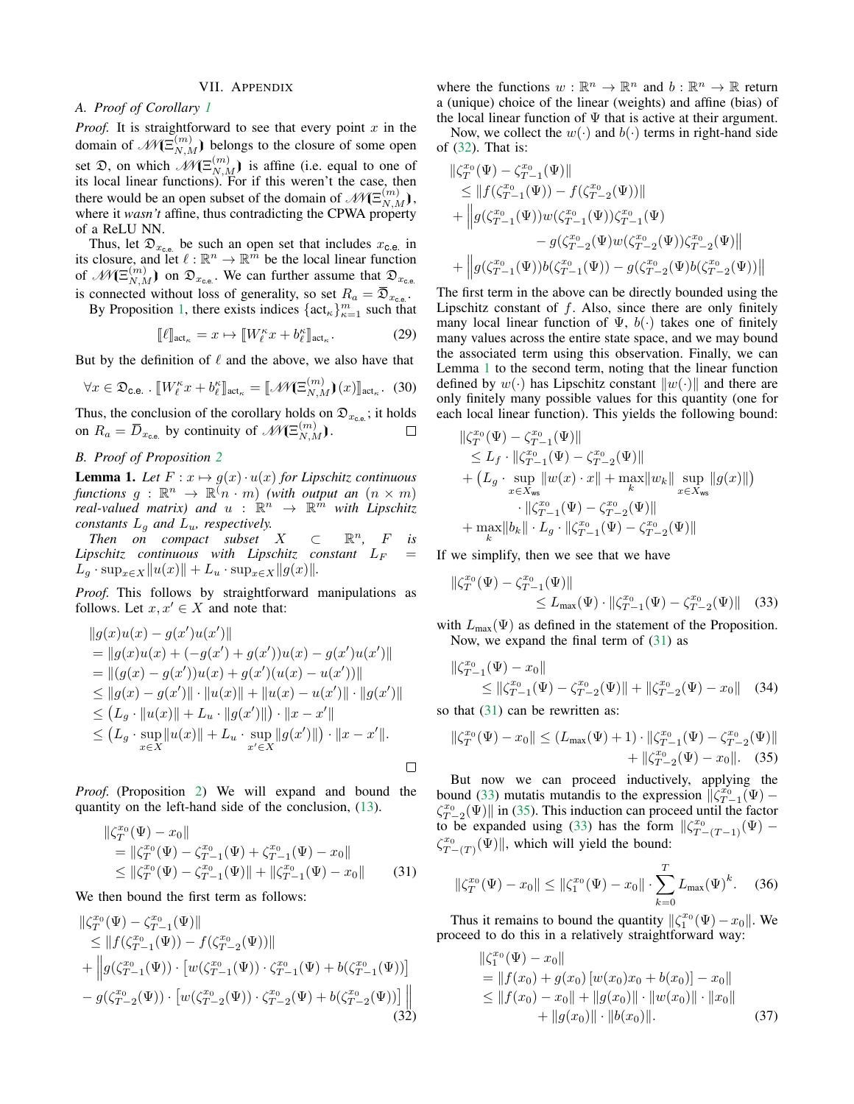# VII. APPENDIX

# <span id="page-8-0"></span>*A. Proof of Corollary [1](#page-3-0)*

*Proof.* It is straightforward to see that every point  $x$  in the domain of  $\mathcal{M}(\Xi_{N,M}^{(m)})$  belongs to the closure of some open set  $\mathfrak{D}$ , on which  $\mathscr{M}(\Xi_{N,M}^{(m)})$  is affine (i.e. equal to one of its local linear functions). For if this weren't the case, then there would be an open subset of the domain of  $\mathcal{M}(\Xi_{N,M}^{(m)})$ , where it *wasn't* affine, thus contradicting the CPWA property of a ReLU NN.

Thus, let  $\mathfrak{D}_{x_{\text{c.e.}}}$  be such an open set that includes  $x_{\text{c.e.}}$  in its closure, and let  $\ell : \mathbb{R}^n \to \mathbb{R}^m$  be the local linear function of  $\mathscr{N}(\Xi_{N,M}^{(m)})$  on  $\mathfrak{D}_{x_{\text{c.e.}}}$ . We can further assume that  $\mathfrak{D}_{x_{\text{c.e.}}}$ is connected without loss of generality, so set  $R_a = \mathfrak{D}_{x_{\text{ce}}}.$ 

By Proposition [1,](#page-3-6) there exists indices  $\{\text{act}_{\kappa}\}_{\kappa=1}^m$  such that

$$
[\![\ell]\!]_{\text{act}_{\kappa}} = x \mapsto [\![W_{\ell}^{\kappa} x + b_{\ell}^{\kappa}]\!]_{\text{act}_{\kappa}}.
$$

But by the definition of  $\ell$  and the above, we also have that

$$
\forall x \in \mathfrak{D}_{\mathbf{c},\mathbf{e}}.\ [W_{\ell}^{\kappa} x + b_{\ell}^{\kappa}]_{\text{act}_{\kappa}} = [\![\mathscr{M}(\Xi_{N,M}^{(m)})(x)]\!]_{\text{act}_{\kappa}}.\ [30]
$$

Thus, the conclusion of the corollary holds on  $\mathfrak{D}_{x_{\text{c.e.}}}$ ; it holds on  $R_a = \overline{D}_{x_{\text{c.e.}}}$  by continuity of  $\mathscr{M}(\Xi_{N,M}^{(m)})$ .  $\Box$ 

# *B. Proof of Proposition [2](#page-3-2)*

<span id="page-8-2"></span>**Lemma 1.** Let  $F: x \mapsto g(x) \cdot u(x)$  for Lipschitz continuous *functions*  $g : \mathbb{R}^n \to \mathbb{R}(\stackrel{\sim}{n} \cdot m)$  *(with output an*  $(n \times m)$ *)* real-valued matrix) and  $u$  :  $\mathbb{R}^n$   $\rightarrow$   $\mathbb{R}^{\hat{m}}$  with Lipschitz *constants*  $L_q$  *and*  $L_u$ *, respectively.* 

*Then on compact subset X*  $\subset \mathbb{R}^n$ , F is  $Lipschitz$  continuous with  $Lipschitz$  constant  $L_F$  =  $L_g \cdot \sup_{x \in X} ||u(x)|| + L_u \cdot \sup_{x \in X} ||g(x)||.$ 

*Proof.* This follows by straightforward manipulations as follows. Let  $x, x' \in X$  and note that:

$$
||g(x)u(x) - g(x')u(x')||
$$
  
=  $||g(x)u(x) + (-g(x') + g(x'))u(x) - g(x')u(x')||$   
=  $||(g(x) - g(x'))u(x) + g(x')(u(x) - u(x'))||$   
 $\leq ||g(x) - g(x')|| \cdot ||u(x)|| + ||u(x) - u(x')|| \cdot ||g(x')||$   
 $\leq (L_g \cdot ||u(x)|| + L_u \cdot ||g(x')||) \cdot ||x - x'||$   
 $\leq (L_g \cdot \sup_{x \in X} ||u(x)|| + L_u \cdot \sup_{x' \in X} ||g(x')||) \cdot ||x - x'||$ .

*Proof.* (Proposition [2\)](#page-3-2) We will expand and bound the quantity on the left-hand side of the conclusion, [\(13\)](#page-4-10).

$$
\|\zeta_T^{x_0}(\Psi) - x_0\|
$$
  
=  $\|\zeta_T^{x_0}(\Psi) - \zeta_{T-1}^{x_0}(\Psi) + \zeta_{T-1}^{x_0}(\Psi) - x_0\|$   
 $\leq \|\zeta_T^{x_0}(\Psi) - \zeta_{T-1}^{x_0}(\Psi)\| + \|\zeta_{T-1}^{x_0}(\Psi) - x_0\|$  (31)

We then bound the first term as follows:

$$
\|\zeta_T^{x_0}(\Psi) - \zeta_{T-1}^{x_0}(\Psi)\| \n\le \|f(\zeta_{T-1}^{x_0}(\Psi)) - f(\zeta_{T-2}^{x_0}(\Psi))\| \n+ \|g(\zeta_{T-1}^{x_0}(\Psi)) \cdot [w(\zeta_{T-1}^{x_0}(\Psi)) \cdot \zeta_{T-1}^{x_0}(\Psi) + b(\zeta_{T-1}^{x_0}(\Psi))] \n- g(\zeta_{T-2}^{x_0}(\Psi)) \cdot [w(\zeta_{T-2}^{x_0}(\Psi)) \cdot \zeta_{T-2}^{x_0}(\Psi) + b(\zeta_{T-2}^{x_0}(\Psi))]] \tag{32}
$$

where the functions  $w : \mathbb{R}^n \to \mathbb{R}^n$  and  $b : \mathbb{R}^n \to \mathbb{R}$  return a (unique) choice of the linear (weights) and affine (bias) of the local linear function of  $\Psi$  that is active at their argument.

Now, we collect the  $w(\cdot)$  and  $b(\cdot)$  terms in right-hand side of [\(32\)](#page-8-1). That is:

$$
\label{eq:20} \begin{aligned} &\|\zeta_T^{x_0}(\Psi)-\zeta_{T-1}^{x_0}(\Psi)\|\\ &\leq \|f(\zeta_{T-1}^{x_0}(\Psi))-f(\zeta_{T-2}^{x_0}(\Psi))\|\\ &+\left\|g(\zeta_{T-1}^{x_0}(\Psi))w(\zeta_{T-1}^{x_0}(\Psi))\zeta_{T-1}^{x_0}(\Psi)\\ &-g(\zeta_{T-2}^{x_0}(\Psi)w(\zeta_{T-2}^{x_0}(\Psi))\zeta_{T-2}^{x_0}(\Psi)\|\\ &+\left\|g(\zeta_{T-1}^{x_0}(\Psi))b(\zeta_{T-1}^{x_0}(\Psi))-g(\zeta_{T-2}^{x_0}(\Psi)b(\zeta_{T-2}^{x_0}(\Psi))\right\| \end{aligned}
$$

The first term in the above can be directly bounded using the Lipschitz constant of  $f$ . Also, since there are only finitely many local linear function of  $\Psi$ ,  $b(\cdot)$  takes one of finitely many values across the entire state space, and we may bound the associated term using this observation. Finally, we can Lemma [1](#page-8-2) to the second term, noting that the linear function defined by  $w(\cdot)$  has Lipschitz constant  $\|w(\cdot)\|$  and there are only finitely many possible values for this quantity (one for each local linear function). This yields the following bound:

$$
\label{eq:20} \begin{split} &\|\zeta_T^{x_0}(\Psi)-\zeta_{T-1}^{x_0}(\Psi)\|\\ &\leq L_f\cdot\|\zeta_{T-1}^{x_0}(\Psi)-\zeta_{T-2}^{x_0}(\Psi)\|\\ &+ \left(L_g\cdot\sup_{x\in X_{\mathrm{ws}}} \|w(x)\cdot x\|+\max_k\|w_k\|\sup_{x\in X_{\mathrm{ws}}} \|g(x)\|\right)\\ &\quad\|\zeta_{T-1}^{x_0}(\Psi)-\zeta_{T-2}^{x_0}(\Psi)\|\\ &+\max_k\|b_k\|\cdot L_g\cdot\|\zeta_{T-1}^{x_0}(\Psi)-\zeta_{T-2}^{x_0}(\Psi)\| \end{split}
$$

If we simplify, then we see that we have

<span id="page-8-4"></span>
$$
\zeta_T^{x_0}(\Psi) - \zeta_{T-1}^{x_0}(\Psi) \| \le L_{\max}(\Psi) \cdot \| \zeta_{T-1}^{x_0}(\Psi) - \zeta_{T-2}^{x_0}(\Psi) \| \quad (33)
$$

with  $L_{\text{max}}(\Psi)$  as defined in the statement of the Proposition. Now, we expand the final term of  $(31)$  as

$$
\|\zeta_{T-1}^{x_0}(\Psi) - x_0\|
$$
  
\n
$$
\leq \|\zeta_{T-1}^{x_0}(\Psi) - \zeta_{T-2}^{x_0}(\Psi)\| + \|\zeta_{T-2}^{x_0}(\Psi) - x_0\|
$$
 (34)

so that  $(31)$  can be rewritten as:

 $\mathbb{R}$ 

<span id="page-8-5"></span>
$$
\|\zeta_T^{x_0}(\Psi) - x_0\| \le (L_{\max}(\Psi) + 1) \cdot \|\zeta_{T-1}^{x_0}(\Psi) - \zeta_{T-2}^{x_0}(\Psi)\| + \|\zeta_{T-2}^{x_0}(\Psi) - x_0\|.
$$
 (35)

But now we can proceed inductively, applying the bound [\(33\)](#page-8-4) mutatis mutandis to the expression  $\|\zeta_{T-1}^{x_0}(\Psi) \zeta_{T-2}^{x_0}(\Psi)$  in [\(35\)](#page-8-5). This induction can proceed until the factor to be expanded using [\(33\)](#page-8-4) has the form  $\left\|\zeta_{T-(T-1)}^{x_0}(\Psi) - \right\|$  $\zeta_{T-(T)}^{x_0}(\Psi)$ , which will yield the bound:

<span id="page-8-3"></span>
$$
\|\zeta_T^{x_0}(\Psi) - x_0\| \le \|\zeta_1^{x_0}(\Psi) - x_0\| \cdot \sum_{k=0}^T L_{\max}(\Psi)^k. \tag{36}
$$

Thus it remains to bound the quantity  $\|\zeta_1^{x_0}(\Psi) - x_0\|$ . We proceed to do this in a relatively straightforward way:

<span id="page-8-1"></span>
$$
\begin{aligned} &\|\zeta_1^{x_0}(\Psi) - x_0\| \\ &= \|f(x_0) + g(x_0) \left[w(x_0)x_0 + b(x_0)\right] - x_0\| \\ &\le \|f(x_0) - x_0\| + \|g(x_0)\| \cdot \|w(x_0)\| \cdot \|x_0\| \\ &+ \|g(x_0)\| \cdot \|b(x_0)\|. \end{aligned} \tag{37}
$$